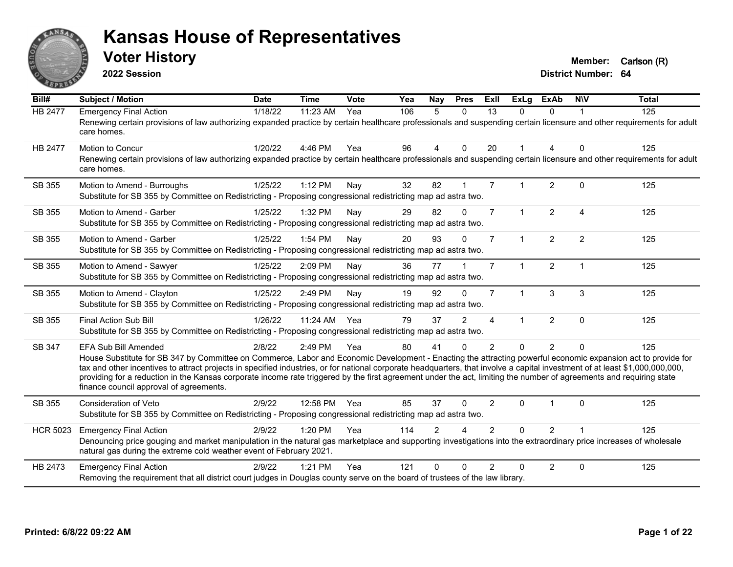

**2022 Session**

**District Number: 64 Voter History Member:** Carlson (R)

**Bill# Subject / Motion Date Time Vote Yea Nay Pres Exll ExLg ExAb N\V Total** HB 2477 Emergency Final Action 118/22 11:23 AM Yea 106 5 0 13 0 0 1 125 Renewing certain provisions of law authorizing expanded practice by certain healthcare professionals and suspending certain licensure and other requirements for adult care homes. HB 2477 Motion to Concur 1/20/22 4:46 PM Yea 96 4 0 20 1 4 0 125 Renewing certain provisions of law authorizing expanded practice by certain healthcare professionals and suspending certain licensure and other requirements for adult care homes. SB 355 Motion to Amend - Burroughs 1/25/22 1:12 PM Nay 32 82 1 7 1 2 0 125 Substitute for SB 355 by Committee on Redistricting - Proposing congressional redistricting map ad astra two. SB 355 Motion to Amend - Garber 10 125/22 1:32 PM Nav 29 82 0 7 1 2 4 125 Substitute for SB 355 by Committee on Redistricting - Proposing congressional redistricting map ad astra two. SB 355 Motion to Amend - Garber 1/25/22 1:54 PM Nav 20 93 0 7 1 2 2 125 Substitute for SB 355 by Committee on Redistricting - Proposing congressional redistricting map ad astra two. SB 355 Motion to Amend - Sawyer 1/25/22 2:09 PM Nay 36 77 1 7 1 2 1 1 125 Substitute for SB 355 by Committee on Redistricting - Proposing congressional redistricting map ad astra two. SB 355 Motion to Amend - Clayton 1/25/22 2:49 PM Nay 19 92 0 7 1 3 3 125 Substitute for SB 355 by Committee on Redistricting - Proposing congressional redistricting map ad astra two. SB 355 Final Action Sub Bill 1/26/22 11:24 AM Yea 79 37 2 4 1 2 0 125 Substitute for SB 355 by Committee on Redistricting - Proposing congressional redistricting map ad astra two. SB 347 EFA Sub Bill Amended 2/8/22 2:49 PM Yea 80 41 0 2 0 2 0 125 House Substitute for SB 347 by Committee on Commerce, Labor and Economic Development - Enacting the attracting powerful economic expansion act to provide for tax and other incentives to attract projects in specified industries, or for national corporate headquarters, that involve a capital investment of at least \$1,000,000,000,000, providing for a reduction in the Kansas corporate income rate triggered by the first agreement under the act, limiting the number of agreements and requiring state finance council approval of agreements. SB 355 Consideration of Veto 2/9/22 12:58 PM Yea 85 37 0 2 0 1 0 125 Substitute for SB 355 by Committee on Redistricting - Proposing congressional redistricting map ad astra two. HCR 5023 Emergency Final Action 2/9/22 1:20 PM Yea 114 2 4 2 0 2 1 125 Denouncing price gouging and market manipulation in the natural gas marketplace and supporting investigations into the extraordinary price increases of wholesale natural gas during the extreme cold weather event of February 2021. HB 2473 Emergency Final Action 2/9/22 1:21 PM Yea 121 0 0 2 0 2 0 125 Removing the requirement that all district court judges in Douglas county serve on the board of trustees of the law library.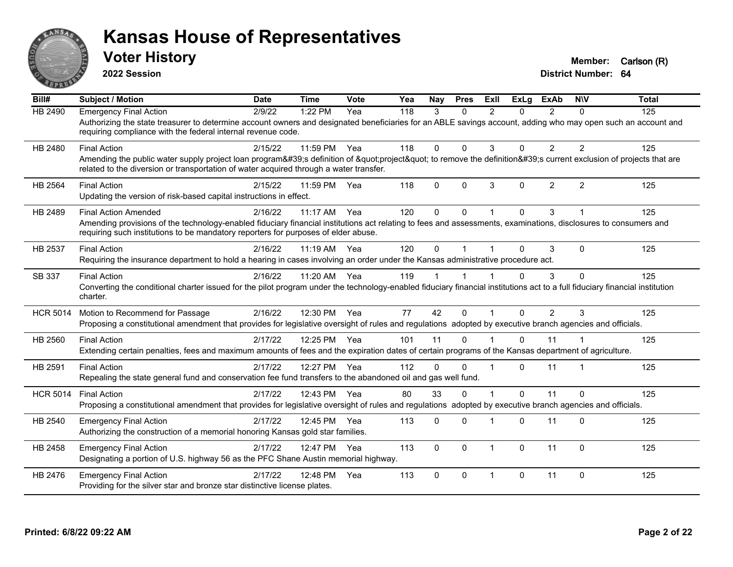

**2022 Session**

**District Number: 64 Voter History Member:** Carlson (R)

**Bill# Subject / Motion Date Time Vote Yea Nay Pres Exll ExLg ExAb N\V Total** HB 2490 Emergency Final Action 2/9/22 1:22 PM Yea 118 3 0 2 0 2 0 125 Authorizing the state treasurer to determine account owners and designated beneficiaries for an ABLE savings account, adding who may open such an account and requiring compliance with the federal internal revenue code. HB 2480 Final Action 2/15/22 11:59 PM Yea 118 0 0 3 0 2 2 125 Amending the public water supply project loan program's definition of "project" to remove the definition's current exclusion of projects that are related to the diversion or transportation of water acquired through a water transfer. HB 2564 Final Action 2/15/22 11:59 PM Yea 118 0 0 3 0 2 2 125 Updating the version of risk-based capital instructions in effect. HB 2489 Final Action Amended 2016/22 11:17 AM Yea 120 0 0 1 0 3 1 1 125 Amending provisions of the technology-enabled fiduciary financial institutions act relating to fees and assessments, examinations, disclosures to consumers and requiring such institutions to be mandatory reporters for purposes of elder abuse. HB 2537 Final Action 2/16/22 11:19 AM Yea 120 0 1 1 0 3 0 125 Requiring the insurance department to hold a hearing in cases involving an order under the Kansas administrative procedure act. SB 337 Final Action 2/16/22 11:20 AM Yea 119 1 1 1 0 3 0 125 Converting the conditional charter issued for the pilot program under the technology-enabled fiduciary financial institutions act to a full fiduciary financial institution charter. HCR 5014 Motion to Recommend for Passage 2/16/22 12:30 PM Yea 77 42 0 1 0 2 3 125 Proposing a constitutional amendment that provides for legislative oversight of rules and regulations adopted by executive branch agencies and officials. HB 2560 Final Action 2/17/22 12:25 PM Yea 101 11 0 1 0 11 1 125 Extending certain penalties, fees and maximum amounts of fees and the expiration dates of certain programs of the Kansas department of agriculture. HB 2591 Final Action 2/17/22 12:27 PM Yea 112 0 0 1 0 11 1 125 Repealing the state general fund and conservation fee fund transfers to the abandoned oil and gas well fund. HCR 5014 Final Action 2/17/22 12:43 PM Yea 80 33 0 1 0 11 0 125 Proposing a constitutional amendment that provides for legislative oversight of rules and regulations adopted by executive branch agencies and officials. HB 2540 Emergency Final Action 21/17/22 12:45 PM Yea 113 0 0 1 0 11 0 125 Authorizing the construction of a memorial honoring Kansas gold star families. HB 2458 Emergency Final Action  $2/17/22$  12:47 PM Yea 113 0 0 1 0 11 0 125 Designating a portion of U.S. highway 56 as the PFC Shane Austin memorial highway. HB 2476 Emergency Final Action 2/17/22 12:48 PM Yea 113 0 0 1 0 11 0 125 Providing for the silver star and bronze star distinctive license plates.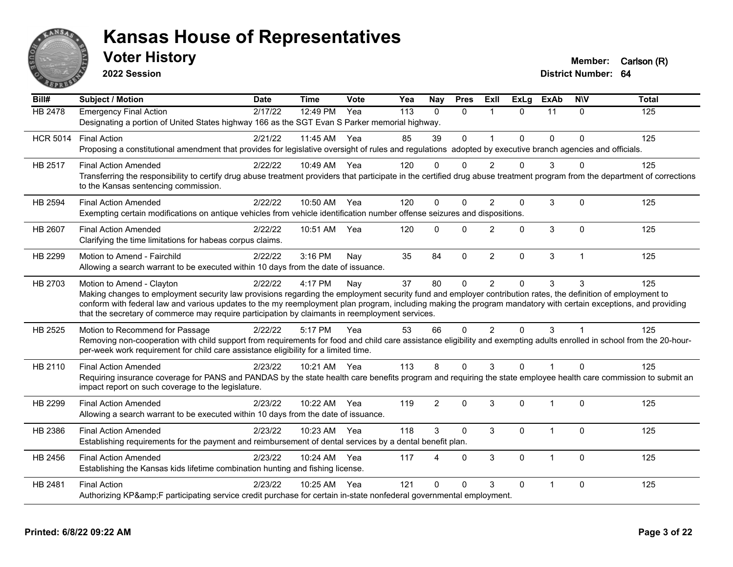

**2022 Session**

**Voter History Member:** Carlson (R)

**District Number: 64**

| Bill#           | <b>Subject / Motion</b>                                                                                                                                                                                                                                       | <b>Date</b> | <b>Time</b>  | <b>Vote</b> | Yea | Nay                    | <b>Pres</b>  | ExIl           | <b>ExLg</b>  | <b>ExAb</b>             | <b>NIV</b>  | <b>Total</b> |
|-----------------|---------------------------------------------------------------------------------------------------------------------------------------------------------------------------------------------------------------------------------------------------------------|-------------|--------------|-------------|-----|------------------------|--------------|----------------|--------------|-------------------------|-------------|--------------|
| HB 2478         | <b>Emergency Final Action</b>                                                                                                                                                                                                                                 | 2/17/22     | 12:49 PM     | Yea         | 113 | $\Omega$               | $\Omega$     | 1              | $\mathbf{0}$ | 11                      | $\Omega$    | 125          |
|                 | Designating a portion of United States highway 166 as the SGT Evan S Parker memorial highway.                                                                                                                                                                 |             |              |             |     |                        |              |                |              |                         |             |              |
| <b>HCR 5014</b> | <b>Final Action</b>                                                                                                                                                                                                                                           | 2/21/22     | 11:45 AM Yea |             | 85  | 39                     | $\mathbf{0}$ |                | $\Omega$     | $\Omega$                | $\Omega$    | 125          |
|                 | Proposing a constitutional amendment that provides for legislative oversight of rules and regulations adopted by executive branch agencies and officials.                                                                                                     |             |              |             |     |                        |              |                |              |                         |             |              |
| HB 2517         | <b>Final Action Amended</b>                                                                                                                                                                                                                                   | 2/22/22     | 10:49 AM Yea |             | 120 | n                      | n            |                | $\Omega$     | 3                       | U           | 125          |
|                 | Transferring the responsibility to certify drug abuse treatment providers that participate in the certified drug abuse treatment program from the department of corrections<br>to the Kansas sentencing commission.                                           |             |              |             |     |                        |              |                |              |                         |             |              |
| <b>HB 2594</b>  | <b>Final Action Amended</b>                                                                                                                                                                                                                                   | 2/22/22     | 10:50 AM     | Yea         | 120 | $\mathbf{0}$           | $\Omega$     | 2              | $\Omega$     | $\mathsf 3$             | $\Omega$    | 125          |
|                 | Exempting certain modifications on antique vehicles from vehicle identification number offense seizures and dispositions.                                                                                                                                     |             |              |             |     |                        |              |                |              |                         |             |              |
| HB 2607         | <b>Final Action Amended</b>                                                                                                                                                                                                                                   | 2/22/22     | 10:51 AM     | Yea         | 120 | $\mathbf{0}$           | $\Omega$     | $\overline{2}$ | $\Omega$     | 3                       | $\Omega$    | 125          |
|                 | Clarifying the time limitations for habeas corpus claims.                                                                                                                                                                                                     |             |              |             |     |                        |              |                |              |                         |             |              |
| HB 2299         | Motion to Amend - Fairchild                                                                                                                                                                                                                                   | 2/22/22     | 3:16 PM      | Nay         | 35  | 84                     | $\mathbf 0$  | $\overline{2}$ | 0            | $\sqrt{3}$              | $\mathbf 1$ | 125          |
|                 | Allowing a search warrant to be executed within 10 days from the date of issuance.                                                                                                                                                                            |             |              |             |     |                        |              |                |              |                         |             |              |
| HB 2703         | Motion to Amend - Clayton                                                                                                                                                                                                                                     | 2/22/22     | 4:17 PM      | Nay         | 37  | 80                     | $\Omega$     | $\overline{2}$ | $\Omega$     | 3                       | 3           | 125          |
|                 | Making changes to employment security law provisions regarding the employment security fund and employer contribution rates, the definition of employment to                                                                                                  |             |              |             |     |                        |              |                |              |                         |             |              |
|                 | conform with federal law and various updates to the my reemployment plan program, including making the program mandatory with certain exceptions, and providing                                                                                               |             |              |             |     |                        |              |                |              |                         |             |              |
|                 | that the secretary of commerce may require participation by claimants in reemployment services.                                                                                                                                                               |             |              |             |     |                        |              |                |              |                         |             |              |
| HB 2525         | Motion to Recommend for Passage                                                                                                                                                                                                                               | 2/22/22     | 5:17 PM      | Yea         | 53  | 66                     | $\Omega$     | $\overline{2}$ | $\Omega$     | 3                       |             | 125          |
|                 | Removing non-cooperation with child support from requirements for food and child care assistance eligibility and exempting adults enrolled in school from the 20-hour-<br>per-week work requirement for child care assistance eligibility for a limited time. |             |              |             |     |                        |              |                |              |                         |             |              |
| HB 2110         | <b>Final Action Amended</b>                                                                                                                                                                                                                                   | 2/23/22     | 10:21 AM Yea |             | 113 | 8                      | $\Omega$     | 3              | $\Omega$     |                         | $\Omega$    | 125          |
|                 | Requiring insurance coverage for PANS and PANDAS by the state health care benefits program and requiring the state employee health care commission to submit an<br>impact report on such coverage to the legislature.                                         |             |              |             |     |                        |              |                |              |                         |             |              |
| HB 2299         | <b>Final Action Amended</b>                                                                                                                                                                                                                                   | 2/23/22     | 10:22 AM Yea |             | 119 | $\overline{2}$         | $\mathbf{0}$ | 3              | $\Omega$     | $\overline{1}$          | $\Omega$    | 125          |
|                 | Allowing a search warrant to be executed within 10 days from the date of issuance.                                                                                                                                                                            |             |              |             |     |                        |              |                |              |                         |             |              |
| HB 2386         | <b>Final Action Amended</b>                                                                                                                                                                                                                                   | 2/23/22     | 10:23 AM     | Yea         | 118 | 3                      | $\Omega$     | 3              | $\Omega$     | $\overline{\mathbf{1}}$ | $\Omega$    | 125          |
|                 | Establishing requirements for the payment and reimbursement of dental services by a dental benefit plan.                                                                                                                                                      |             |              |             |     |                        |              |                |              |                         |             |              |
| HB 2456         | <b>Final Action Amended</b>                                                                                                                                                                                                                                   | 2/23/22     | 10:24 AM     | Yea         | 117 | $\boldsymbol{\Lambda}$ | $\mathbf{0}$ | 3              | $\Omega$     | $\overline{1}$          | $\Omega$    | 125          |
|                 | Establishing the Kansas kids lifetime combination hunting and fishing license.                                                                                                                                                                                |             |              |             |     |                        |              |                |              |                         |             |              |
| HB 2481         | <b>Final Action</b>                                                                                                                                                                                                                                           | 2/23/22     | 10:25 AM     | Yea         | 121 | $\Omega$               | $\Omega$     | 3              | 0            | 1                       | 0           | 125          |
|                 | Authorizing KP&F participating service credit purchase for certain in-state nonfederal governmental employment.                                                                                                                                               |             |              |             |     |                        |              |                |              |                         |             |              |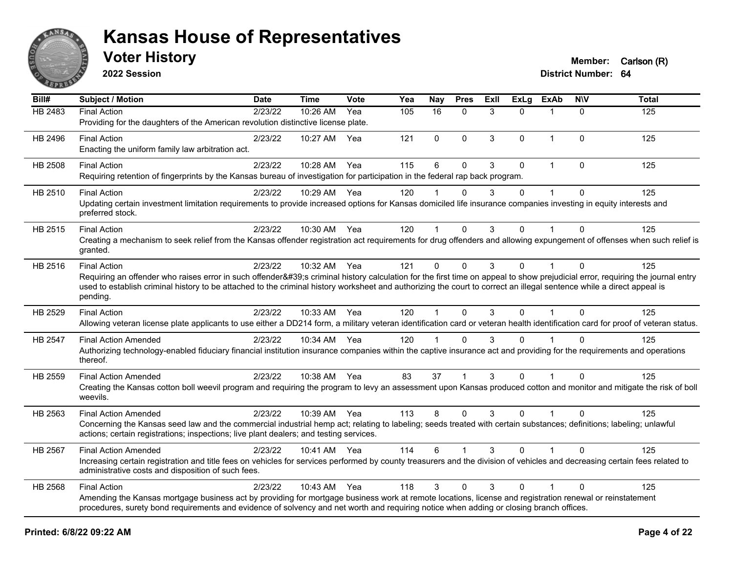

**2022 Session**

| $\overline{BiII#}$ | <b>Subject / Motion</b>                                                                                                                                                                                                                                                                                                                                                                | <b>Date</b> | <b>Time</b> | Vote | Yea | Nay         | <b>Pres</b>          | Exll | <b>ExLg</b>  | <b>ExAb</b>  | <b>NIV</b>   | <b>Total</b> |
|--------------------|----------------------------------------------------------------------------------------------------------------------------------------------------------------------------------------------------------------------------------------------------------------------------------------------------------------------------------------------------------------------------------------|-------------|-------------|------|-----|-------------|----------------------|------|--------------|--------------|--------------|--------------|
| HB 2483            | <b>Final Action</b><br>Providing for the daughters of the American revolution distinctive license plate.                                                                                                                                                                                                                                                                               | 2/23/22     | 10:26 AM    | Yea  | 105 | 16          | $\mathbf{0}$         | 3    | $\Omega$     |              | $\mathbf{0}$ | 125          |
| HB 2496            | <b>Final Action</b><br>Enacting the uniform family law arbitration act.                                                                                                                                                                                                                                                                                                                | 2/23/22     | 10:27 AM    | Yea  | 121 | $\mathbf 0$ | $\mathbf{0}$         | 3    | $\mathbf{0}$ | $\mathbf{1}$ | $\mathbf{0}$ | 125          |
| <b>HB 2508</b>     | <b>Final Action</b><br>Requiring retention of fingerprints by the Kansas bureau of investigation for participation in the federal rap back program.                                                                                                                                                                                                                                    | 2/23/22     | 10:28 AM    | Yea  | 115 | 6           | $\Omega$             | 3    | $\mathbf{0}$ |              | $\Omega$     | 125          |
| HB 2510            | <b>Final Action</b><br>Updating certain investment limitation requirements to provide increased options for Kansas domiciled life insurance companies investing in equity interests and<br>preferred stock.                                                                                                                                                                            | 2/23/22     | 10:29 AM    | Yea  | 120 |             | $\Omega$             | 3    | $\Omega$     |              | $\Omega$     | 125          |
| HB 2515            | <b>Final Action</b><br>Creating a mechanism to seek relief from the Kansas offender registration act requirements for drug offenders and allowing expungement of offenses when such relief is<br>granted.                                                                                                                                                                              | 2/23/22     | 10:30 AM    | Yea  | 120 | 1           | $\mathbf{0}$         | 3    | $\Omega$     | $\mathbf{1}$ | $\Omega$     | 125          |
| HB 2516            | <b>Final Action</b><br>Requiring an offender who raises error in such offender's criminal history calculation for the first time on appeal to show prejudicial error, requiring the journal entry<br>used to establish criminal history to be attached to the criminal history worksheet and authorizing the court to correct an illegal sentence while a direct appeal is<br>pending. | 2/23/22     | 10:32 AM    | Yea  | 121 | 0           | $\Omega$             | 3    | $\Omega$     |              | $\Omega$     | 125          |
| HB 2529            | <b>Final Action</b><br>Allowing veteran license plate applicants to use either a DD214 form, a military veteran identification card or veteran health identification card for proof of veteran status.                                                                                                                                                                                 | 2/23/22     | 10:33 AM    | Yea  | 120 | 1           | $\Omega$             | 3    | $\mathbf{0}$ |              | $\Omega$     | 125          |
| HB 2547            | <b>Final Action Amended</b><br>Authorizing technology-enabled fiduciary financial institution insurance companies within the captive insurance act and providing for the requirements and operations<br>thereof.                                                                                                                                                                       | 2/23/22     | 10:34 AM    | Yea  | 120 |             | $\Omega$             | 3    | $\Omega$     |              | $\Omega$     | 125          |
| HB 2559            | <b>Final Action Amended</b><br>Creating the Kansas cotton boll weevil program and requiring the program to levy an assessment upon Kansas produced cotton and monitor and mitigate the risk of boll<br>weevils.                                                                                                                                                                        | 2/23/22     | 10:38 AM    | Yea  | 83  | 37          | $\blacktriangleleft$ | 3    | $\Omega$     |              | $\Omega$     | 125          |
| HB 2563            | <b>Final Action Amended</b><br>Concerning the Kansas seed law and the commercial industrial hemp act; relating to labeling; seeds treated with certain substances; definitions; labeling; unlawful<br>actions; certain registrations; inspections; live plant dealers; and testing services.                                                                                           | 2/23/22     | 10:39 AM    | Yea  | 113 | 8           | $\Omega$             | 3    | $\Omega$     |              | $\Omega$     | 125          |
| HB 2567            | <b>Final Action Amended</b><br>Increasing certain registration and title fees on vehicles for services performed by county treasurers and the division of vehicles and decreasing certain fees related to<br>administrative costs and disposition of such fees.                                                                                                                        | 2/23/22     | 10:41 AM    | Yea  | 114 | 6           |                      | 3    | $\Omega$     |              | $\Omega$     | 125          |
| <b>HB 2568</b>     | <b>Final Action</b><br>Amending the Kansas mortgage business act by providing for mortgage business work at remote locations, license and registration renewal or reinstatement<br>procedures, surety bond requirements and evidence of solvency and net worth and requiring notice when adding or closing branch offices.                                                             | 2/23/22     | 10:43 AM    | Yea  | 118 | 3           | $\Omega$             | 3    | $\Omega$     | $\mathbf{1}$ | $\Omega$     | 125          |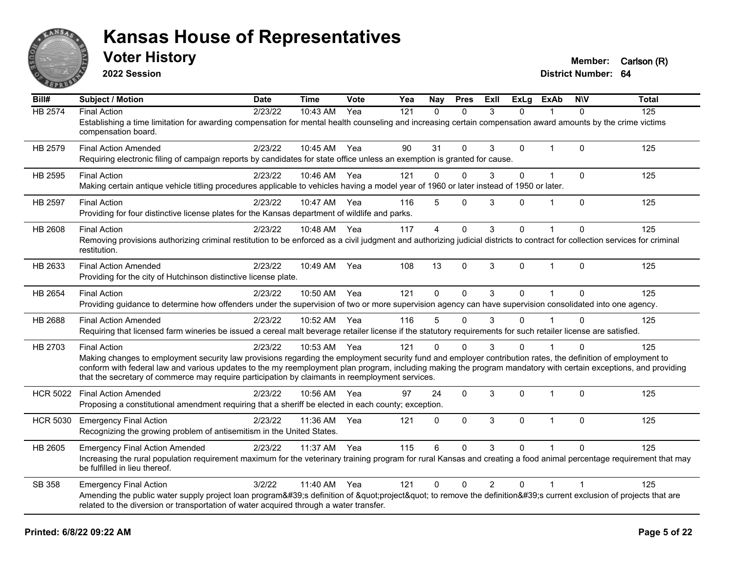

**2022 Session**

**Voter History Member:** Carlson (R)

**District Number: 64**

| Bill#           | <b>Subject / Motion</b>                                                                                                                                                                                                                                                                                                                                                                                                                                   | <b>Date</b> | <b>Time</b>  | Vote | Yea | <b>Nay</b>     | <b>Pres</b>  | ExII           | ExLg     | ExAb           | <b>NIV</b>   | <b>Total</b> |
|-----------------|-----------------------------------------------------------------------------------------------------------------------------------------------------------------------------------------------------------------------------------------------------------------------------------------------------------------------------------------------------------------------------------------------------------------------------------------------------------|-------------|--------------|------|-----|----------------|--------------|----------------|----------|----------------|--------------|--------------|
| <b>HB 2574</b>  | <b>Final Action</b><br>Establishing a time limitation for awarding compensation for mental health counseling and increasing certain compensation award amounts by the crime victims<br>compensation board.                                                                                                                                                                                                                                                | 2/23/22     | 10:43 AM     | Yea  | 121 | $\Omega$       | $\Omega$     | 3              | $\Omega$ |                | $\Omega$     | 125          |
| HB 2579         | <b>Final Action Amended</b><br>Requiring electronic filing of campaign reports by candidates for state office unless an exemption is granted for cause.                                                                                                                                                                                                                                                                                                   | 2/23/22     | 10:45 AM Yea |      | 90  | 31             | $\mathbf{0}$ | 3              | 0        | $\overline{1}$ | $\Omega$     | 125          |
| HB 2595         | <b>Final Action</b><br>Making certain antique vehicle titling procedures applicable to vehicles having a model year of 1960 or later instead of 1950 or later.                                                                                                                                                                                                                                                                                            | 2/23/22     | 10:46 AM     | Yea  | 121 | $\mathbf 0$    | $\mathbf 0$  | 3              | 0        | $\overline{1}$ | $\mathbf 0$  | 125          |
| <b>HB 2597</b>  | <b>Final Action</b><br>Providing for four distinctive license plates for the Kansas department of wildlife and parks.                                                                                                                                                                                                                                                                                                                                     | 2/23/22     | 10:47 AM     | Yea  | 116 | 5              | $\Omega$     | 3              | $\Omega$ | $\overline{1}$ | $\Omega$     | 125          |
| <b>HB 2608</b>  | <b>Final Action</b><br>Removing provisions authorizing criminal restitution to be enforced as a civil judgment and authorizing judicial districts to contract for collection services for criminal<br>restitution.                                                                                                                                                                                                                                        | 2/23/22     | 10:48 AM     | Yea  | 117 | $\overline{4}$ | $\mathbf{0}$ | 3              | 0        |                | $\Omega$     | 125          |
| HB 2633         | <b>Final Action Amended</b><br>Providing for the city of Hutchinson distinctive license plate.                                                                                                                                                                                                                                                                                                                                                            | 2/23/22     | 10:49 AM     | Yea  | 108 | 13             | $\mathbf{0}$ | 3              | 0        | $\mathbf{1}$   | $\mathbf{0}$ | 125          |
| <b>HB 2654</b>  | <b>Final Action</b><br>Providing guidance to determine how offenders under the supervision of two or more supervision agency can have supervision consolidated into one agency.                                                                                                                                                                                                                                                                           | 2/23/22     | 10:50 AM     | Yea  | 121 | $\Omega$       | $\Omega$     | 3              | 0        |                | $\Omega$     | 125          |
| <b>HB 2688</b>  | <b>Final Action Amended</b><br>Requiring that licensed farm wineries be issued a cereal malt beverage retailer license if the statutory requirements for such retailer license are satisfied.                                                                                                                                                                                                                                                             | 2/23/22     | 10:52 AM     | Yea  | 116 | 5              | $\mathbf{0}$ | 3              | 0        |                | $\Omega$     | 125          |
| HB 2703         | <b>Final Action</b><br>Making changes to employment security law provisions regarding the employment security fund and employer contribution rates, the definition of employment to<br>conform with federal law and various updates to the my reemployment plan program, including making the program mandatory with certain exceptions, and providing<br>that the secretary of commerce may require participation by claimants in reemployment services. | 2/23/22     | 10:53 AM     | Yea  | 121 | $\Omega$       | $\Omega$     | 3              | 0        |                | $\Omega$     | 125          |
| <b>HCR 5022</b> | <b>Final Action Amended</b><br>Proposing a constitutional amendment requiring that a sheriff be elected in each county; exception.                                                                                                                                                                                                                                                                                                                        | 2/23/22     | 10:56 AM     | Yea  | 97  | 24             | $\mathbf{0}$ | 3              | 0        | $\overline{1}$ | $\Omega$     | 125          |
| <b>HCR 5030</b> | <b>Emergency Final Action</b><br>Recognizing the growing problem of antisemitism in the United States.                                                                                                                                                                                                                                                                                                                                                    | 2/23/22     | 11:36 AM     | Yea  | 121 | $\mathbf{0}$   | $\mathbf{0}$ | 3              | 0        | $\overline{1}$ | $\Omega$     | 125          |
| HB 2605         | <b>Emergency Final Action Amended</b><br>Increasing the rural population requirement maximum for the veterinary training program for rural Kansas and creating a food animal percentage requirement that may<br>be fulfilled in lieu thereof.                                                                                                                                                                                                             | 2/23/22     | 11:37 AM     | Yea  | 115 | 6              | $\mathbf{0}$ | 3              | $\Omega$ |                | $\Omega$     | 125          |
| SB 358          | <b>Emergency Final Action</b><br>Amending the public water supply project loan program's definition of "project" to remove the definition's current exclusion of projects that are<br>related to the diversion or transportation of water acquired through a water transfer.                                                                                                                                                                              | 3/2/22      | 11:40 AM     | Yea  | 121 | $\Omega$       | $\mathbf{0}$ | $\overline{2}$ | 0        | $\overline{1}$ |              | 125          |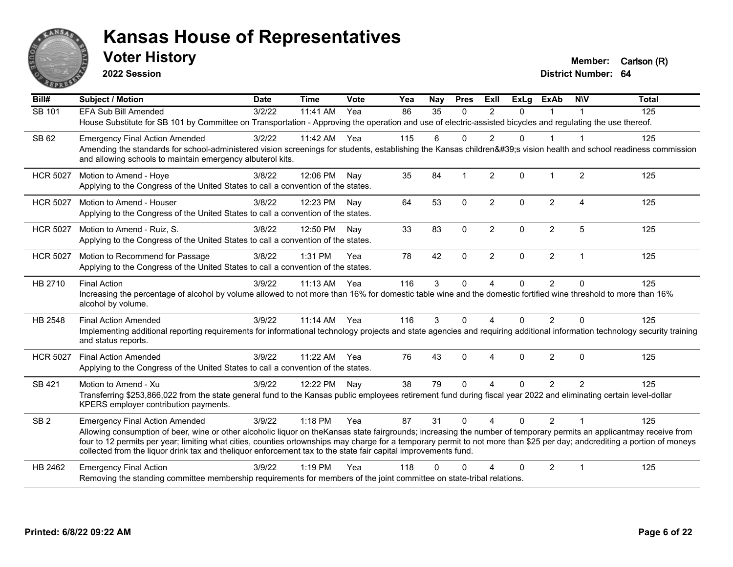

**2022 Session**

**Voter History Member:** Carlson (R)

**District Number: 64**

| Bill#           | <b>Subject / Motion</b>                                                                                                                                                                                                                                                                                                                                                                                                                                             | <b>Date</b> | <b>Time</b> | Vote | Yea | Nay      | <b>Pres</b>    | ExII           | <b>ExLg</b> | <b>ExAb</b>    | <b>NIV</b>     | <b>Total</b> |
|-----------------|---------------------------------------------------------------------------------------------------------------------------------------------------------------------------------------------------------------------------------------------------------------------------------------------------------------------------------------------------------------------------------------------------------------------------------------------------------------------|-------------|-------------|------|-----|----------|----------------|----------------|-------------|----------------|----------------|--------------|
| SB 101          | EFA Sub Bill Amended                                                                                                                                                                                                                                                                                                                                                                                                                                                | 3/2/22      | 11:41 AM    | Yea  | 86  | 35       | $\Omega$       | $\mathfrak{p}$ | $\Omega$    |                |                | 125          |
|                 | House Substitute for SB 101 by Committee on Transportation - Approving the operation and use of electric-assisted bicycles and regulating the use thereof.                                                                                                                                                                                                                                                                                                          |             |             |      |     |          |                |                |             |                |                |              |
| SB 62           | <b>Emergency Final Action Amended</b>                                                                                                                                                                                                                                                                                                                                                                                                                               | 3/2/22      | 11:42 AM    | Yea  | 115 | 6        | $\Omega$       | $\overline{2}$ | $\Omega$    | 1              | -1             | 125          |
|                 | Amending the standards for school-administered vision screenings for students, establishing the Kansas children's vision health and school readiness commission<br>and allowing schools to maintain emergency albuterol kits.                                                                                                                                                                                                                                       |             |             |      |     |          |                |                |             |                |                |              |
| <b>HCR 5027</b> | Motion to Amend - Hoye                                                                                                                                                                                                                                                                                                                                                                                                                                              | 3/8/22      | 12:06 PM    | Nav  | 35  | 84       | $\overline{1}$ | 2              | $\Omega$    | $\mathbf 1$    | 2              | 125          |
|                 | Applying to the Congress of the United States to call a convention of the states.                                                                                                                                                                                                                                                                                                                                                                                   |             |             |      |     |          |                |                |             |                |                |              |
| <b>HCR 5027</b> | Motion to Amend - Houser                                                                                                                                                                                                                                                                                                                                                                                                                                            | 3/8/22      | 12:23 PM    | Nav  | 64  | 53       | $\mathbf 0$    | $\overline{2}$ | $\Omega$    | $\overline{2}$ | $\overline{4}$ | 125          |
|                 | Applying to the Congress of the United States to call a convention of the states.                                                                                                                                                                                                                                                                                                                                                                                   |             |             |      |     |          |                |                |             |                |                |              |
| <b>HCR 5027</b> | Motion to Amend - Ruiz, S.                                                                                                                                                                                                                                                                                                                                                                                                                                          | 3/8/22      | 12:50 PM    | Nav  | 33  | 83       | $\mathbf 0$    | $\overline{2}$ | 0           | $\overline{2}$ | 5              | 125          |
|                 | Applying to the Congress of the United States to call a convention of the states.                                                                                                                                                                                                                                                                                                                                                                                   |             |             |      |     |          |                |                |             |                |                |              |
| <b>HCR 5027</b> | Motion to Recommend for Passage                                                                                                                                                                                                                                                                                                                                                                                                                                     | 3/8/22      | 1:31 PM     | Yea  | 78  | 42       | $\mathbf{0}$   | $\overline{2}$ | $\Omega$    | $\overline{2}$ | $\overline{1}$ | 125          |
|                 | Applying to the Congress of the United States to call a convention of the states.                                                                                                                                                                                                                                                                                                                                                                                   |             |             |      |     |          |                |                |             |                |                |              |
| HB 2710         | <b>Final Action</b>                                                                                                                                                                                                                                                                                                                                                                                                                                                 | 3/9/22      | $11:13$ AM  | Yea  | 116 | 3        | $\Omega$       | $\overline{A}$ | 0           | $\overline{2}$ | $\Omega$       | 125          |
|                 | Increasing the percentage of alcohol by volume allowed to not more than 16% for domestic table wine and the domestic fortified wine threshold to more than 16%<br>alcohol by volume.                                                                                                                                                                                                                                                                                |             |             |      |     |          |                |                |             |                |                |              |
| HB 2548         | <b>Final Action Amended</b>                                                                                                                                                                                                                                                                                                                                                                                                                                         | 3/9/22      | $11:14$ AM  | Yea  | 116 | 3        | $\Omega$       | 4              | 0           | 2              | $\Omega$       | 125          |
|                 | Implementing additional reporting requirements for informational technology projects and state agencies and requiring additional information technology security training<br>and status reports.                                                                                                                                                                                                                                                                    |             |             |      |     |          |                |                |             |                |                |              |
| <b>HCR 5027</b> | <b>Final Action Amended</b>                                                                                                                                                                                                                                                                                                                                                                                                                                         | 3/9/22      | 11:22 AM    | Yea  | 76  | 43       | $\Omega$       | 4              | $\Omega$    | 2              | $\Omega$       | 125          |
|                 | Applying to the Congress of the United States to call a convention of the states.                                                                                                                                                                                                                                                                                                                                                                                   |             |             |      |     |          |                |                |             |                |                |              |
| SB 421          | Motion to Amend - Xu                                                                                                                                                                                                                                                                                                                                                                                                                                                | 3/9/22      | 12:22 PM    | Nay  | 38  | 79       | $\Omega$       | 4              | $\Omega$    | $\overline{2}$ | $\overline{2}$ | 125          |
|                 | Transferring \$253,866,022 from the state general fund to the Kansas public employees retirement fund during fiscal year 2022 and eliminating certain level-dollar<br>KPERS employer contribution payments.                                                                                                                                                                                                                                                         |             |             |      |     |          |                |                |             |                |                |              |
| SB <sub>2</sub> | <b>Emergency Final Action Amended</b>                                                                                                                                                                                                                                                                                                                                                                                                                               | 3/9/22      | 1:18 PM     | Yea  | 87  | 31       | $\Omega$       | $\overline{4}$ | $\Omega$    | $\mathcal{P}$  | $\overline{1}$ | 125          |
|                 | Allowing consumption of beer, wine or other alcoholic liquor on theKansas state fairgrounds; increasing the number of temporary permits an applicantmay receive from<br>four to 12 permits per year; limiting what cities, counties ortownships may charge for a temporary permit to not more than \$25 per day; andcrediting a portion of moneys<br>collected from the liquor drink tax and theliquor enforcement tax to the state fair capital improvements fund. |             |             |      |     |          |                |                |             |                |                |              |
| HB 2462         | <b>Emergency Final Action</b>                                                                                                                                                                                                                                                                                                                                                                                                                                       | 3/9/22      | $1:19$ PM   | Yea  | 118 | $\Omega$ | O              |                | $\Omega$    | $\overline{2}$ | $\overline{1}$ | 125          |
|                 | Removing the standing committee membership requirements for members of the joint committee on state-tribal relations.                                                                                                                                                                                                                                                                                                                                               |             |             |      |     |          |                |                |             |                |                |              |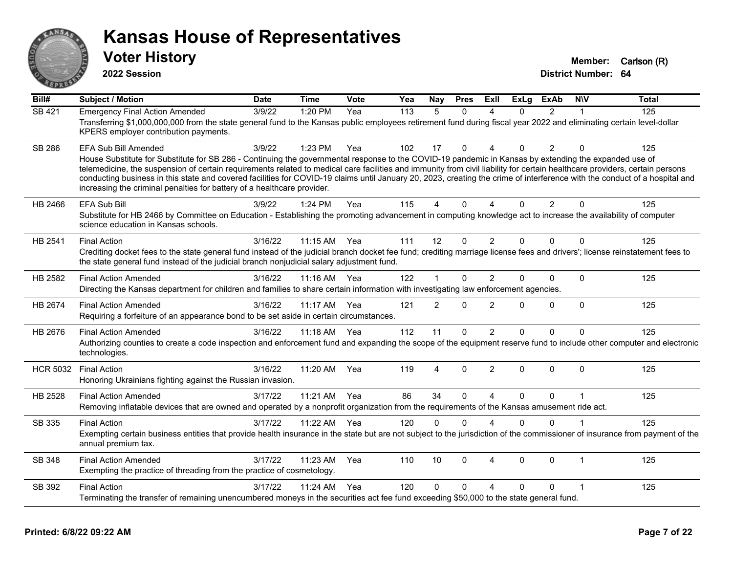

**2022 Session**

**District Number: 64 Voter History Member:** Carlson (R)

**Bill# Subject / Motion Date Time Vote Yea Nay Pres Exll ExLg ExAb N\V Total** SB 421 Emergency Final Action Amended 3/9/22 1:20 PM Yea 113 5 0 4 0 2 1 125 Transferring \$1,000,000,000 from the state general fund to the Kansas public employees retirement fund during fiscal year 2022 and eliminating certain level-dollar KPERS employer contribution payments. SB 286 EFA Sub Bill Amended 3/9/22 1:23 PM Yea 102 17 0 4 0 2 0 125 House Substitute for Substitute for SB 286 - Continuing the governmental response to the COVID-19 pandemic in Kansas by extending the expanded use of telemedicine, the suspension of certain requirements related to medical care facilities and immunity from civil liability for certain healthcare providers, certain persons conducting business in this state and covered facilities for COVID-19 claims until January 20, 2023, creating the crime of interference with the conduct of a hospital and increasing the criminal penalties for battery of a healthcare provider. HB 2466 EFA Sub Bill 3/9/22 1:24 PM Yea 115 4 0 4 0 2 0 125 Substitute for HB 2466 by Committee on Education - Establishing the promoting advancement in computing knowledge act to increase the availability of computer science education in Kansas schools. HB 2541 Final Action 3/16/22 11:15 AM Yea 111 12 0 2 0 0 0 125 Crediting docket fees to the state general fund instead of the judicial branch docket fee fund; crediting marriage license fees and drivers'; license reinstatement fees to the state general fund instead of the judicial branch nonjudicial salary adjustment fund. HB 2582 Final Action Amended 3/16/22 11:16 AM Yea 122 1 0 2 0 0 0 125 Directing the Kansas department for children and families to share certain information with investigating law enforcement agencies. HB 2674 Final Action Amended 3/16/22 11:17 AM Yea 121 2 0 2 0 0 0 125 Requiring a forfeiture of an appearance bond to be set aside in certain circumstances. HB 2676 Final Action Amended 3/16/22 11:18 AM Yea 112 11 0 2 0 0 0 125 Authorizing counties to create a code inspection and enforcement fund and expanding the scope of the equipment reserve fund to include other computer and electronic technologies. HCR 5032 Final Action 3/16/22 11:20 AM Yea 119 4 0 2 0 0 0 125 Honoring Ukrainians fighting against the Russian invasion. HB 2528 Final Action Amended and the state of 3/17/22 11:21 AM Yea  $\,$  86 34 0 4 0 0 1 125 Removing inflatable devices that are owned and operated by a nonprofit organization from the requirements of the Kansas amusement ride act. SB 335 Final Action 3/17/22 11:22 AM Yea 120 0 4 0 0 1 125 Exempting certain business entities that provide health insurance in the state but are not subject to the jurisdiction of the commissioner of insurance from payment of the annual premium tax. SB 348 Final Action Amended 3/17/22 11:23 AM Yea 110 10 0 4 0 0 1 125 Exempting the practice of threading from the practice of cosmetology. SB 392 Final Action 3/17/22 11:24 AM Yea 120 0 0 4 0 0 1 125 Terminating the transfer of remaining unencumbered moneys in the securities act fee fund exceeding \$50,000 to the state general fund.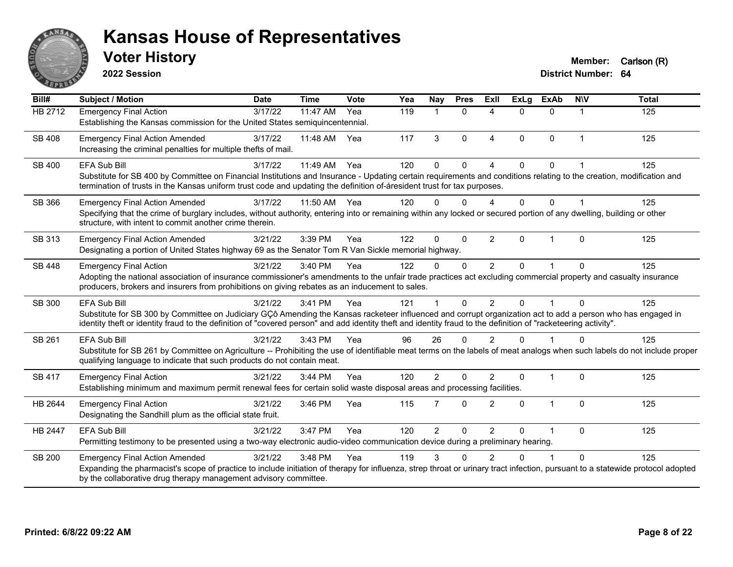

**2022 Session**

| Bill#          | <b>Subject / Motion</b>                                                                                                                                                                                                                                                                                                        | <b>Date</b> | <b>Time</b> | Vote | Yea | Nay            | <b>Pres</b>  | ExII           | <b>ExLa</b>  | <b>ExAb</b>    | <b>NIV</b>   | <b>Total</b> |
|----------------|--------------------------------------------------------------------------------------------------------------------------------------------------------------------------------------------------------------------------------------------------------------------------------------------------------------------------------|-------------|-------------|------|-----|----------------|--------------|----------------|--------------|----------------|--------------|--------------|
| HB 2712        | <b>Emergency Final Action</b>                                                                                                                                                                                                                                                                                                  | 3/17/22     | 11:47 AM    | Yea  | 119 | -1             | $\mathbf{0}$ | 4              | $\Omega$     | $\mathbf{0}$   | 1            | 125          |
|                | Establishing the Kansas commission for the United States semiquincentennial.                                                                                                                                                                                                                                                   |             |             |      |     |                |              |                |              |                |              |              |
| SB 408         | <b>Emergency Final Action Amended</b>                                                                                                                                                                                                                                                                                          | 3/17/22     | 11:48 AM    | Yea  | 117 | 3              | $\Omega$     | 4              | $\Omega$     | $\mathbf{0}$   | 1            | 125          |
|                | Increasing the criminal penalties for multiple thefts of mail.                                                                                                                                                                                                                                                                 |             |             |      |     |                |              |                |              |                |              |              |
| SB 400         | EFA Sub Bill                                                                                                                                                                                                                                                                                                                   | 3/17/22     | 11:49 AM    | Yea  | 120 | $\Omega$       | $\Omega$     | $\Delta$       | $\Omega$     | $\Omega$       |              | 125          |
|                | Substitute for SB 400 by Committee on Financial Institutions and Insurance - Updating certain requirements and conditions relating to the creation, modification and                                                                                                                                                           |             |             |      |     |                |              |                |              |                |              |              |
|                | termination of trusts in the Kansas uniform trust code and updating the definition of-áresident trust for tax purposes.                                                                                                                                                                                                        |             |             |      |     |                |              |                |              |                |              |              |
| SB 366         | <b>Emergency Final Action Amended</b>                                                                                                                                                                                                                                                                                          | 3/17/22     | 11:50 AM    | Yea  | 120 | $\Omega$       | $\Omega$     | 4              | $\Omega$     | $\Omega$       |              | 125          |
|                | Specifying that the crime of burglary includes, without authority, entering into or remaining within any locked or secured portion of any dwelling, building or other<br>structure, with intent to commit another crime therein.                                                                                               |             |             |      |     |                |              |                |              |                |              |              |
| SB 313         | <b>Emergency Final Action Amended</b>                                                                                                                                                                                                                                                                                          | 3/21/22     | 3:39 PM     | Yea  | 122 | $\Omega$       | $\mathbf 0$  | $\overline{2}$ | $\mathbf{0}$ | $\overline{1}$ | $\mathbf{0}$ | 125          |
|                | Designating a portion of United States highway 69 as the Senator Tom R Van Sickle memorial highway.                                                                                                                                                                                                                            |             |             |      |     |                |              |                |              |                |              |              |
| <b>SB 448</b>  | <b>Emergency Final Action</b>                                                                                                                                                                                                                                                                                                  | 3/21/22     | 3:40 PM     | Yea  | 122 | $\mathbf{0}$   | $\mathbf{0}$ | $\overline{2}$ | $\Omega$     | $\overline{ }$ | $\Omega$     | 125          |
|                | Adopting the national association of insurance commissioner's amendments to the unfair trade practices act excluding commercial property and casualty insurance                                                                                                                                                                |             |             |      |     |                |              |                |              |                |              |              |
|                | producers, brokers and insurers from prohibitions on giving rebates as an inducement to sales.                                                                                                                                                                                                                                 |             |             |      |     |                |              |                |              |                |              |              |
| <b>SB 300</b>  | <b>EFA Sub Bill</b>                                                                                                                                                                                                                                                                                                            | 3/21/22     | 3:41 PM     | Yea  | 121 |                | $\Omega$     | 2              | $\Omega$     | $\overline{1}$ | $\Omega$     | 125          |
|                | Substitute for SB 300 by Committee on Judiciary GÇô Amending the Kansas racketeer influenced and corrupt organization act to add a person who has engaged in<br>identity theft or identity fraud to the definition of "covered person" and add identity theft and identity fraud to the definition of "racketeering activity". |             |             |      |     |                |              |                |              |                |              |              |
| SB 261         | <b>EFA Sub Bill</b>                                                                                                                                                                                                                                                                                                            | 3/21/22     | 3:43 PM     | Yea  | 96  | 26             | 0            | $\overline{2}$ | $\Omega$     |                | $\mathbf{0}$ | 125          |
|                | Substitute for SB 261 by Committee on Agriculture -- Prohibiting the use of identifiable meat terms on the labels of meat analogs when such labels do not include proper<br>qualifying language to indicate that such products do not contain meat.                                                                            |             |             |      |     |                |              |                |              |                |              |              |
|                |                                                                                                                                                                                                                                                                                                                                |             |             |      |     |                |              |                |              |                |              |              |
| SB 417         | <b>Emergency Final Action</b><br>Establishing minimum and maximum permit renewal fees for certain solid waste disposal areas and processing facilities.                                                                                                                                                                        | 3/21/22     | 3:44 PM     | Yea  | 120 | $\overline{2}$ | 0            | $\overline{2}$ | 0            | $\overline{1}$ | $\Omega$     | 125          |
|                |                                                                                                                                                                                                                                                                                                                                |             |             |      |     |                |              |                |              |                |              |              |
| HB 2644        | <b>Emergency Final Action</b>                                                                                                                                                                                                                                                                                                  | 3/21/22     | 3:46 PM     | Yea  | 115 | $\overline{7}$ | $\Omega$     | $\overline{2}$ | 0            | 1              | $\mathbf 0$  | 125          |
|                | Designating the Sandhill plum as the official state fruit.                                                                                                                                                                                                                                                                     |             |             |      |     |                |              |                |              |                |              |              |
| <b>HB 2447</b> | <b>EFA Sub Bill</b>                                                                                                                                                                                                                                                                                                            | 3/21/22     | 3:47 PM     | Yea  | 120 | $\overline{2}$ | 0            | $\overline{2}$ | $\Omega$     | 1              | $\mathbf{0}$ | 125          |
|                | Permitting testimony to be presented using a two-way electronic audio-video communication device during a preliminary hearing.                                                                                                                                                                                                 |             |             |      |     |                |              |                |              |                |              |              |
| <b>SB 200</b>  | <b>Emergency Final Action Amended</b>                                                                                                                                                                                                                                                                                          | 3/21/22     | 3:48 PM     | Yea  | 119 | 3              | 0            | 2              | 0            | 1              | $\Omega$     | 125          |
|                | Expanding the pharmacist's scope of practice to include initiation of therapy for influenza, strep throat or urinary tract infection, pursuant to a statewide protocol adopted<br>by the collaborative drug therapy management advisory committee.                                                                             |             |             |      |     |                |              |                |              |                |              |              |
|                |                                                                                                                                                                                                                                                                                                                                |             |             |      |     |                |              |                |              |                |              |              |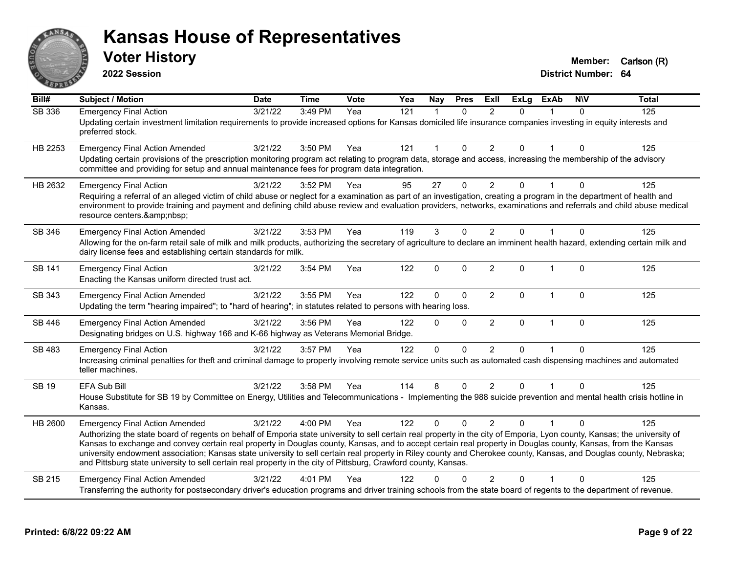

**2022 Session**

| Bill#         | <b>Subject / Motion</b>                                                                                                                                                                                                                                                                                                                                                                                                                                                                                                                                                                                                                                                      | <b>Date</b> | <b>Time</b> | Vote | Yea              | <b>Nay</b>     | <b>Pres</b>  | <b>Exll</b>    | <b>ExLg</b>  | <b>ExAb</b>  | <b>NIV</b>   | <b>Total</b> |
|---------------|------------------------------------------------------------------------------------------------------------------------------------------------------------------------------------------------------------------------------------------------------------------------------------------------------------------------------------------------------------------------------------------------------------------------------------------------------------------------------------------------------------------------------------------------------------------------------------------------------------------------------------------------------------------------------|-------------|-------------|------|------------------|----------------|--------------|----------------|--------------|--------------|--------------|--------------|
| <b>SB 336</b> | <b>Emergency Final Action</b><br>Updating certain investment limitation requirements to provide increased options for Kansas domiciled life insurance companies investing in equity interests and<br>preferred stock.                                                                                                                                                                                                                                                                                                                                                                                                                                                        | 3/21/22     | 3:49 PM     | Yea  | $\overline{121}$ | $\overline{1}$ | $\Omega$     | 2              | $\Omega$     |              | $\mathbf{0}$ | 125          |
| HB 2253       | <b>Emergency Final Action Amended</b><br>Updating certain provisions of the prescription monitoring program act relating to program data, storage and access, increasing the membership of the advisory<br>committee and providing for setup and annual maintenance fees for program data integration.                                                                                                                                                                                                                                                                                                                                                                       | 3/21/22     | 3:50 PM     | Yea  | 121              | 1              | 0            | $\overline{2}$ | $\mathbf{0}$ | $\mathbf{1}$ | $\Omega$     | 125          |
| HB 2632       | <b>Emergency Final Action</b><br>Requiring a referral of an alleged victim of child abuse or neglect for a examination as part of an investigation, creating a program in the department of health and<br>environment to provide training and payment and defining child abuse review and evaluation providers, networks, examinations and referrals and child abuse medical<br>resource centers.                                                                                                                                                                                                                                                                            | 3/21/22     | 3:52 PM     | Yea  | 95               | 27             | $\Omega$     | $\overline{2}$ | 0            |              | $\Omega$     | 125          |
| SB 346        | <b>Emergency Final Action Amended</b><br>Allowing for the on-farm retail sale of milk and milk products, authorizing the secretary of agriculture to declare an imminent health hazard, extending certain milk and<br>dairy license fees and establishing certain standards for milk.                                                                                                                                                                                                                                                                                                                                                                                        | 3/21/22     | 3:53 PM     | Yea  | 119              | 3              | 0            | $\overline{2}$ | $\Omega$     |              | $\mathbf 0$  | 125          |
| <b>SB 141</b> | <b>Emergency Final Action</b><br>Enacting the Kansas uniform directed trust act.                                                                                                                                                                                                                                                                                                                                                                                                                                                                                                                                                                                             | 3/21/22     | 3:54 PM     | Yea  | 122              | $\mathbf{0}$   | $\Omega$     | $\overline{2}$ | $\Omega$     | $\mathbf{1}$ | $\Omega$     | 125          |
| SB 343        | <b>Emergency Final Action Amended</b><br>Updating the term "hearing impaired"; to "hard of hearing"; in statutes related to persons with hearing loss.                                                                                                                                                                                                                                                                                                                                                                                                                                                                                                                       | 3/21/22     | 3:55 PM     | Yea  | 122              | $\mathbf 0$    | $\mathbf 0$  | $\overline{2}$ | $\mathbf 0$  | $\mathbf{1}$ | $\mathbf 0$  | 125          |
| SB 446        | <b>Emergency Final Action Amended</b><br>Designating bridges on U.S. highway 166 and K-66 highway as Veterans Memorial Bridge.                                                                                                                                                                                                                                                                                                                                                                                                                                                                                                                                               | 3/21/22     | 3:56 PM     | Yea  | 122              | $\Omega$       | $\mathbf{0}$ | $\overline{2}$ | $\mathbf{0}$ | $\mathbf{1}$ | $\Omega$     | 125          |
| SB 483        | <b>Emergency Final Action</b><br>Increasing criminal penalties for theft and criminal damage to property involving remote service units such as automated cash dispensing machines and automated<br>teller machines.                                                                                                                                                                                                                                                                                                                                                                                                                                                         | 3/21/22     | 3:57 PM     | Yea  | 122              | $\Omega$       | $\Omega$     | 2              | $\Omega$     | 1            | $\Omega$     | 125          |
| <b>SB 19</b>  | <b>EFA Sub Bill</b><br>House Substitute for SB 19 by Committee on Energy, Utilities and Telecommunications - Implementing the 988 suicide prevention and mental health crisis hotline in<br>Kansas.                                                                                                                                                                                                                                                                                                                                                                                                                                                                          | 3/21/22     | 3:58 PM     | Yea  | 114              | 8              | $\Omega$     | $\overline{2}$ | $\mathbf{0}$ |              | $\Omega$     | 125          |
| HB 2600       | <b>Emergency Final Action Amended</b><br>Authorizing the state board of regents on behalf of Emporia state university to sell certain real property in the city of Emporia, Lyon county, Kansas; the university of<br>Kansas to exchange and convey certain real property in Douglas county, Kansas, and to accept certain real property in Douglas county, Kansas, from the Kansas<br>university endowment association; Kansas state university to sell certain real property in Riley county and Cherokee county, Kansas, and Douglas county, Nebraska;<br>and Pittsburg state university to sell certain real property in the city of Pittsburg, Crawford county, Kansas. | 3/21/22     | 4:00 PM     | Yea  | 122              | $\Omega$       | $\Omega$     | 2              | <sup>n</sup> |              | $\Omega$     | 125          |
| SB 215        | <b>Emergency Final Action Amended</b><br>Transferring the authority for postsecondary driver's education programs and driver training schools from the state board of regents to the department of revenue.                                                                                                                                                                                                                                                                                                                                                                                                                                                                  | 3/21/22     | 4:01 PM     | Yea  | 122              | U              | O            | $\mathcal{P}$  | 0            |              | $\Omega$     | 125          |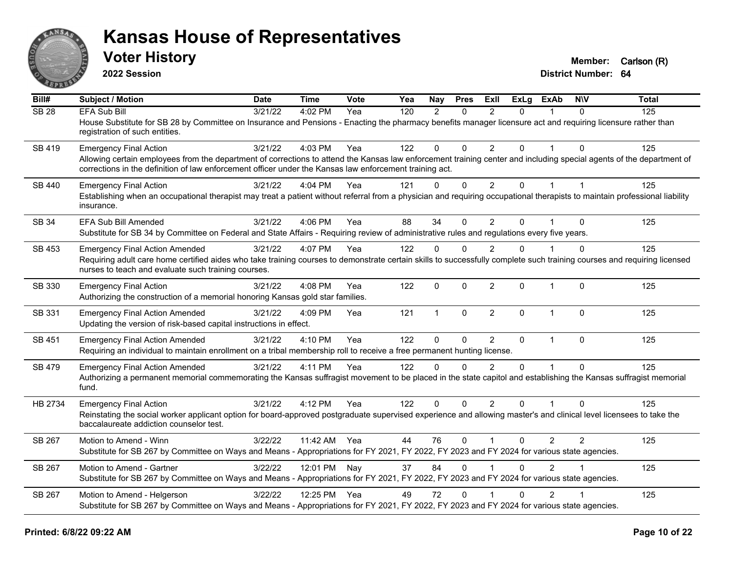

**2022 Session**

| Bill#            | Subject / Motion                                                                                                                                                                                                                                                                                                 | <b>Date</b> | <b>Time</b>  | <b>Vote</b> | Yea | <b>Nay</b>   | <b>Pres</b>  | <b>ExII</b>    | <b>ExLg</b>  | <b>ExAb</b>    | <b>NIV</b>   | <b>Total</b> |
|------------------|------------------------------------------------------------------------------------------------------------------------------------------------------------------------------------------------------------------------------------------------------------------------------------------------------------------|-------------|--------------|-------------|-----|--------------|--------------|----------------|--------------|----------------|--------------|--------------|
| SB <sub>28</sub> | <b>EFA Sub Bill</b><br>House Substitute for SB 28 by Committee on Insurance and Pensions - Enacting the pharmacy benefits manager licensure act and requiring licensure rather than<br>registration of such entities.                                                                                            | 3/21/22     | 4:02 PM      | Yea         | 120 | 2            | $\mathbf{0}$ | $\overline{2}$ | $\Omega$     |                | $\Omega$     | 125          |
| SB 419           | <b>Emergency Final Action</b><br>Allowing certain employees from the department of corrections to attend the Kansas law enforcement training center and including special agents of the department of<br>corrections in the definition of law enforcement officer under the Kansas law enforcement training act. | 3/21/22     | 4:03 PM      | Yea         | 122 | $\mathbf{0}$ | $\Omega$     | $\overline{2}$ | $\Omega$     | 1              | $\Omega$     | 125          |
| SB 440           | <b>Emergency Final Action</b><br>Establishing when an occupational therapist may treat a patient without referral from a physician and requiring occupational therapists to maintain professional liability<br>insurance.                                                                                        | 3/21/22     | 4:04 PM      | Yea         | 121 | $\Omega$     | $\mathbf{0}$ | $\overline{2}$ | $\Omega$     | $\overline{1}$ |              | 125          |
| <b>SB 34</b>     | EFA Sub Bill Amended<br>Substitute for SB 34 by Committee on Federal and State Affairs - Requiring review of administrative rules and regulations every five years.                                                                                                                                              | 3/21/22     | 4:06 PM      | Yea         | 88  | 34           | $\mathbf{0}$ | $\overline{2}$ | $\Omega$     |                | $\mathbf{0}$ | 125          |
| <b>SB 453</b>    | <b>Emergency Final Action Amended</b><br>Requiring adult care home certified aides who take training courses to demonstrate certain skills to successfully complete such training courses and requiring licensed<br>nurses to teach and evaluate such training courses.                                          | 3/21/22     | 4:07 PM      | Yea         | 122 | $\Omega$     | $\Omega$     | $\overline{2}$ | $\mathbf{0}$ |                | $\Omega$     | 125          |
| SB 330           | <b>Emergency Final Action</b><br>Authorizing the construction of a memorial honoring Kansas gold star families.                                                                                                                                                                                                  | 3/21/22     | 4:08 PM      | Yea         | 122 | $\mathbf 0$  | $\mathbf 0$  | $\overline{2}$ | $\Omega$     | $\mathbf{1}$   | $\mathbf{0}$ | 125          |
| SB 331           | <b>Emergency Final Action Amended</b><br>Updating the version of risk-based capital instructions in effect.                                                                                                                                                                                                      | 3/21/22     | 4:09 PM      | Yea         | 121 | $\mathbf{1}$ | $\mathbf{0}$ | $\overline{2}$ | $\Omega$     | $\mathbf{1}$   | $\mathbf{0}$ | 125          |
| <b>SB 451</b>    | <b>Emergency Final Action Amended</b><br>Requiring an individual to maintain enrollment on a tribal membership roll to receive a free permanent hunting license.                                                                                                                                                 | 3/21/22     | 4:10 PM      | Yea         | 122 | $\Omega$     | $\mathbf 0$  | $\overline{2}$ | $\mathbf{0}$ | $\mathbf{1}$   | $\mathbf{0}$ | 125          |
| <b>SB 479</b>    | <b>Emergency Final Action Amended</b><br>Authorizing a permanent memorial commemorating the Kansas suffragist movement to be placed in the state capitol and establishing the Kansas suffragist memorial<br>fund.                                                                                                | 3/21/22     | 4:11 PM      | Yea         | 122 | $\Omega$     | $\Omega$     | $\mathcal{P}$  | $\Omega$     | $\overline{1}$ | $\Omega$     | 125          |
| HB 2734          | <b>Emergency Final Action</b><br>Reinstating the social worker applicant option for board-approved postgraduate supervised experience and allowing master's and clinical level licensees to take the<br>baccalaureate addiction counselor test.                                                                  | 3/21/22     | 4:12 PM      | Yea         | 122 | $\Omega$     | $\Omega$     | $\overline{2}$ | $\Omega$     |                | $\Omega$     | 125          |
| SB 267           | Motion to Amend - Winn<br>Substitute for SB 267 by Committee on Ways and Means - Appropriations for FY 2021, FY 2022, FY 2023 and FY 2024 for various state agencies.                                                                                                                                            | 3/22/22     | 11:42 AM Yea |             | 44  | 76           | $\mathbf{0}$ | $\overline{1}$ | $\Omega$     | $\overline{2}$ | 2            | 125          |
| SB 267           | Motion to Amend - Gartner<br>Substitute for SB 267 by Committee on Ways and Means - Appropriations for FY 2021, FY 2022, FY 2023 and FY 2024 for various state agencies.                                                                                                                                         | 3/22/22     | 12:01 PM Nay |             | 37  | 84           | $\mathbf{0}$ |                | $\Omega$     | 2              |              | 125          |
| SB 267           | Motion to Amend - Helgerson<br>Substitute for SB 267 by Committee on Ways and Means - Appropriations for FY 2021, FY 2022, FY 2023 and FY 2024 for various state agencies.                                                                                                                                       | 3/22/22     | 12:25 PM Yea |             | 49  | 72           | $\Omega$     |                | $\Omega$     | $\overline{2}$ |              | 125          |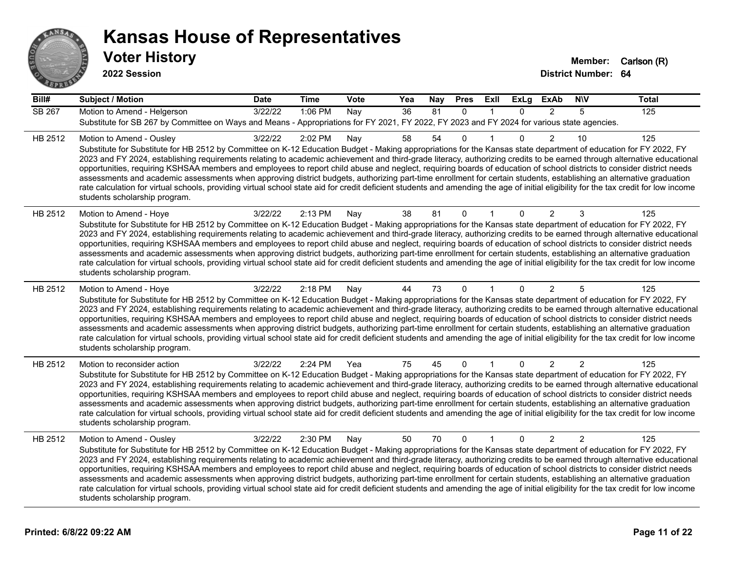

| Bill#   | <b>Subject / Motion</b>                                                                                                                                                                                                                                                                                                                                                                                                                                                                                                                                                                                                                                                                                                                                                                                                                                                                                                                             | <b>Date</b> | <b>Time</b> | Vote | Yea | Nay | <b>Pres</b>  | ExII         | <b>ExLg</b>  | <b>ExAb</b>    | <b>NIV</b>     | <b>Total</b> |
|---------|-----------------------------------------------------------------------------------------------------------------------------------------------------------------------------------------------------------------------------------------------------------------------------------------------------------------------------------------------------------------------------------------------------------------------------------------------------------------------------------------------------------------------------------------------------------------------------------------------------------------------------------------------------------------------------------------------------------------------------------------------------------------------------------------------------------------------------------------------------------------------------------------------------------------------------------------------------|-------------|-------------|------|-----|-----|--------------|--------------|--------------|----------------|----------------|--------------|
| SB 267  | Motion to Amend - Helgerson<br>Substitute for SB 267 by Committee on Ways and Means - Appropriations for FY 2021, FY 2022, FY 2023 and FY 2024 for various state agencies.                                                                                                                                                                                                                                                                                                                                                                                                                                                                                                                                                                                                                                                                                                                                                                          | 3/22/22     | 1:06 PM     | Nay  | 36  | 81  | $\Omega$     | $\mathbf{1}$ | $\Omega$     | $\mathcal{P}$  | 5              | 125          |
| HB 2512 | Motion to Amend - Ousley<br>Substitute for Substitute for HB 2512 by Committee on K-12 Education Budget - Making appropriations for the Kansas state department of education for FY 2022, FY<br>2023 and FY 2024, establishing requirements relating to academic achievement and third-grade literacy, authorizing credits to be earned through alternative educational<br>opportunities, requiring KSHSAA members and employees to report child abuse and neglect, requiring boards of education of school districts to consider district needs<br>assessments and academic assessments when approving district budgets, authorizing part-time enrollment for certain students, establishing an alternative graduation<br>rate calculation for virtual schools, providing virtual school state aid for credit deficient students and amending the age of initial eligibility for the tax credit for low income<br>students scholarship program.    | 3/22/22     | 2:02 PM     | Nay  | 58  | 54  | 0            |              | $\Omega$     | $\overline{2}$ | 10             | 125          |
| HB 2512 | Motion to Amend - Hoye<br>Substitute for Substitute for HB 2512 by Committee on K-12 Education Budget - Making appropriations for the Kansas state department of education for FY 2022, FY<br>2023 and FY 2024, establishing requirements relating to academic achievement and third-grade literacy, authorizing credits to be earned through alternative educational<br>opportunities, requiring KSHSAA members and employees to report child abuse and neglect, requiring boards of education of school districts to consider district needs<br>assessments and academic assessments when approving district budgets, authorizing part-time enrollment for certain students, establishing an alternative graduation<br>rate calculation for virtual schools, providing virtual school state aid for credit deficient students and amending the age of initial eligibility for the tax credit for low income<br>students scholarship program.      | 3/22/22     | 2:13 PM     | Nay  | 38  | 81  | 0            | 1            | 0            | 2              | 3              | 125          |
| HB 2512 | Motion to Amend - Hoye<br>Substitute for Substitute for HB 2512 by Committee on K-12 Education Budget - Making appropriations for the Kansas state department of education for FY 2022, FY<br>2023 and FY 2024, establishing requirements relating to academic achievement and third-grade literacy, authorizing credits to be earned through alternative educational<br>opportunities, requiring KSHSAA members and employees to report child abuse and neglect, requiring boards of education of school districts to consider district needs<br>assessments and academic assessments when approving district budgets, authorizing part-time enrollment for certain students, establishing an alternative graduation<br>rate calculation for virtual schools, providing virtual school state aid for credit deficient students and amending the age of initial eligibility for the tax credit for low income<br>students scholarship program.      | 3/22/22     | 2:18 PM     | Nay  | 44  | 73  | $\Omega$     | 1            | $\mathbf{0}$ | 2              | 5              | 125          |
| HB 2512 | Motion to reconsider action<br>Substitute for Substitute for HB 2512 by Committee on K-12 Education Budget - Making appropriations for the Kansas state department of education for FY 2022, FY<br>2023 and FY 2024, establishing requirements relating to academic achievement and third-grade literacy, authorizing credits to be earned through alternative educational<br>opportunities, requiring KSHSAA members and employees to report child abuse and neglect, requiring boards of education of school districts to consider district needs<br>assessments and academic assessments when approving district budgets, authorizing part-time enrollment for certain students, establishing an alternative graduation<br>rate calculation for virtual schools, providing virtual school state aid for credit deficient students and amending the age of initial eligibility for the tax credit for low income<br>students scholarship program. | 3/22/22     | 2:24 PM     | Yea  | 75  | 45  | 0            | 1            | $\mathbf{0}$ | 2              | $\overline{c}$ | 125          |
| HB 2512 | Motion to Amend - Ousley<br>Substitute for Substitute for HB 2512 by Committee on K-12 Education Budget - Making appropriations for the Kansas state department of education for FY 2022, FY<br>2023 and FY 2024, establishing requirements relating to academic achievement and third-grade literacy, authorizing credits to be earned through alternative educational<br>opportunities, requiring KSHSAA members and employees to report child abuse and neglect, requiring boards of education of school districts to consider district needs<br>assessments and academic assessments when approving district budgets, authorizing part-time enrollment for certain students, establishing an alternative graduation<br>rate calculation for virtual schools, providing virtual school state aid for credit deficient students and amending the age of initial eligibility for the tax credit for low income<br>students scholarship program.    | 3/22/22     | 2:30 PM     | Nay  | 50  | 70  | $\mathbf{0}$ | $\mathbf{1}$ | $\Omega$     | 2              | 2              | 125          |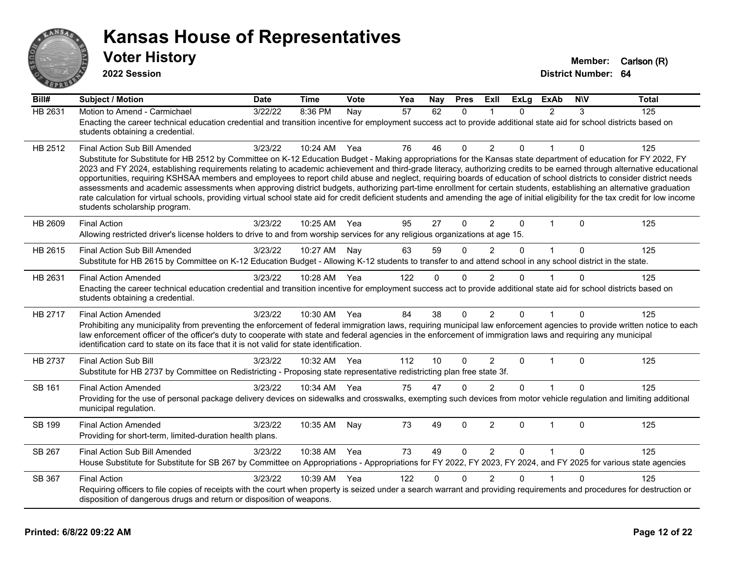

| - 119<br>Bill# | <b>Subject / Motion</b>                                                                                                                                                                                                                                                                                                                                                                                                                                                                                                                                                                                                                                                                                                                                                                                                                                                                                                                               | <b>Date</b> | <b>Time</b>  | Vote | Yea | Nay      | <b>Pres</b>  | <b>Exll</b>    | <b>ExLg</b>  | <b>ExAb</b>             | <b>NIV</b>   | <b>Total</b> |
|----------------|-------------------------------------------------------------------------------------------------------------------------------------------------------------------------------------------------------------------------------------------------------------------------------------------------------------------------------------------------------------------------------------------------------------------------------------------------------------------------------------------------------------------------------------------------------------------------------------------------------------------------------------------------------------------------------------------------------------------------------------------------------------------------------------------------------------------------------------------------------------------------------------------------------------------------------------------------------|-------------|--------------|------|-----|----------|--------------|----------------|--------------|-------------------------|--------------|--------------|
| HB 2631        | Motion to Amend - Carmichael<br>Enacting the career technical education credential and transition incentive for employment success act to provide additional state aid for school districts based on<br>students obtaining a credential.                                                                                                                                                                                                                                                                                                                                                                                                                                                                                                                                                                                                                                                                                                              | 3/22/22     | 8:36 PM      | Nay  | 57  | 62       | $\Omega$     | 1              | $\Omega$     | 2                       | 3            | 125          |
| HB 2512        | Final Action Sub Bill Amended<br>Substitute for Substitute for HB 2512 by Committee on K-12 Education Budget - Making appropriations for the Kansas state department of education for FY 2022, FY<br>2023 and FY 2024, establishing requirements relating to academic achievement and third-grade literacy, authorizing credits to be earned through alternative educational<br>opportunities, requiring KSHSAA members and employees to report child abuse and neglect, requiring boards of education of school districts to consider district needs<br>assessments and academic assessments when approving district budgets, authorizing part-time enrollment for certain students, establishing an alternative graduation<br>rate calculation for virtual schools, providing virtual school state aid for credit deficient students and amending the age of initial eligibility for the tax credit for low income<br>students scholarship program. | 3/23/22     | 10:24 AM     | Yea  | 76  | 46       | $\Omega$     | $\overline{2}$ | $\Omega$     |                         | $\Omega$     | 125          |
| HB 2609        | <b>Final Action</b><br>Allowing restricted driver's license holders to drive to and from worship services for any religious organizations at age 15.                                                                                                                                                                                                                                                                                                                                                                                                                                                                                                                                                                                                                                                                                                                                                                                                  | 3/23/22     | 10:25 AM     | Yea  | 95  | 27       | $\mathbf{0}$ | $\overline{2}$ | $\Omega$     | -1                      | $\Omega$     | 125          |
| HB 2615        | <b>Final Action Sub Bill Amended</b><br>Substitute for HB 2615 by Committee on K-12 Education Budget - Allowing K-12 students to transfer to and attend school in any school district in the state.                                                                                                                                                                                                                                                                                                                                                                                                                                                                                                                                                                                                                                                                                                                                                   | 3/23/22     | 10:27 AM Nay |      | 63  | 59       | $\Omega$     | 2              | $\Omega$     |                         | $\Omega$     | 125          |
| HB 2631        | <b>Final Action Amended</b><br>Enacting the career technical education credential and transition incentive for employment success act to provide additional state aid for school districts based on<br>students obtaining a credential.                                                                                                                                                                                                                                                                                                                                                                                                                                                                                                                                                                                                                                                                                                               | 3/23/22     | 10:28 AM     | Yea  | 122 | $\Omega$ | $\Omega$     | $\mathfrak{p}$ | $\Omega$     |                         | $\Omega$     | 125          |
| HB 2717        | <b>Final Action Amended</b><br>Prohibiting any municipality from preventing the enforcement of federal immigration laws, requiring municipal law enforcement agencies to provide written notice to each<br>law enforcement officer of the officer's duty to cooperate with state and federal agencies in the enforcement of immigration laws and requiring any municipal<br>identification card to state on its face that it is not valid for state identification.                                                                                                                                                                                                                                                                                                                                                                                                                                                                                   | 3/23/22     | 10:30 AM     | Yea  | 84  | 38       | $\mathbf{0}$ | $\overline{2}$ | $\Omega$     |                         | $\mathbf{0}$ | 125          |
| <b>HB 2737</b> | Final Action Sub Bill<br>Substitute for HB 2737 by Committee on Redistricting - Proposing state representative redistricting plan free state 3f.                                                                                                                                                                                                                                                                                                                                                                                                                                                                                                                                                                                                                                                                                                                                                                                                      | 3/23/22     | 10:32 AM     | Yea  | 112 | 10       | $\Omega$     | $\overline{2}$ | $\Omega$     | $\overline{1}$          | $\Omega$     | 125          |
| <b>SB 161</b>  | <b>Final Action Amended</b><br>Providing for the use of personal package delivery devices on sidewalks and crosswalks, exempting such devices from motor vehicle regulation and limiting additional<br>municipal regulation.                                                                                                                                                                                                                                                                                                                                                                                                                                                                                                                                                                                                                                                                                                                          | 3/23/22     | 10:34 AM     | Yea  | 75  | 47       | $\Omega$     | $\mathfrak{p}$ | $\Omega$     |                         | $\mathbf{0}$ | 125          |
| SB 199         | <b>Final Action Amended</b><br>Providing for short-term, limited-duration health plans.                                                                                                                                                                                                                                                                                                                                                                                                                                                                                                                                                                                                                                                                                                                                                                                                                                                               | 3/23/22     | 10:35 AM     | Nay  | 73  | 49       | $\mathbf{0}$ | $\overline{c}$ | $\Omega$     | $\overline{\mathbf{1}}$ | $\Omega$     | 125          |
| SB 267         | Final Action Sub Bill Amended<br>House Substitute for Substitute for SB 267 by Committee on Appropriations - Appropriations for FY 2022, FY 2023, FY 2024, and FY 2025 for various state agencies                                                                                                                                                                                                                                                                                                                                                                                                                                                                                                                                                                                                                                                                                                                                                     | 3/23/22     | 10:38 AM     | Yea  | 73  | 49       | $\Omega$     | $\overline{2}$ | $\mathbf{0}$ | $\overline{1}$          | $\Omega$     | 125          |
| SB 367         | <b>Final Action</b><br>Requiring officers to file copies of receipts with the court when property is seized under a search warrant and providing requirements and procedures for destruction or<br>disposition of dangerous drugs and return or disposition of weapons.                                                                                                                                                                                                                                                                                                                                                                                                                                                                                                                                                                                                                                                                               | 3/23/22     | 10:39 AM     | Yea  | 122 | $\Omega$ | $\Omega$     | $\mathfrak{p}$ | $\Omega$     |                         | $\Omega$     | 125          |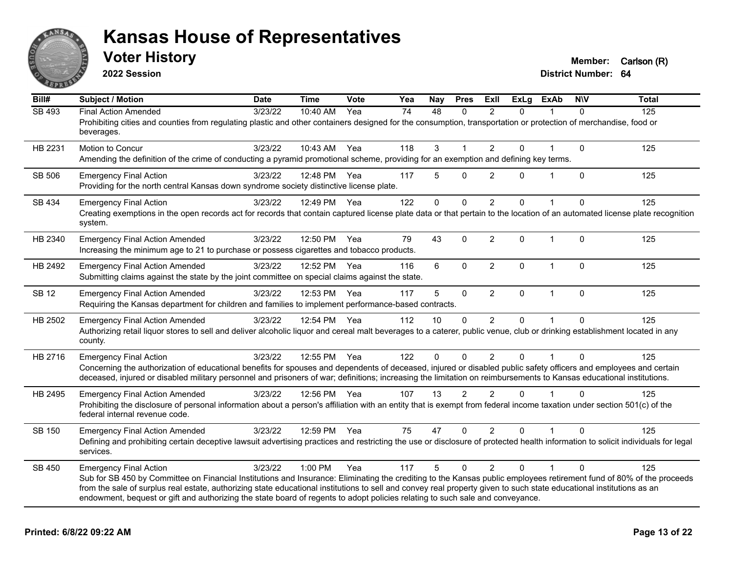

**2022 Session**

| Bill#         | <b>Subject / Motion</b>                                                                                                                                                                                                                                                                                                                                                                                                                                                                                        | <b>Date</b> | <b>Time</b>  | Vote | Yea | Nay         | <b>Pres</b>    | Exll           | <b>ExLg</b>  | <b>ExAb</b>  | <b>NIV</b>   | <b>Total</b> |
|---------------|----------------------------------------------------------------------------------------------------------------------------------------------------------------------------------------------------------------------------------------------------------------------------------------------------------------------------------------------------------------------------------------------------------------------------------------------------------------------------------------------------------------|-------------|--------------|------|-----|-------------|----------------|----------------|--------------|--------------|--------------|--------------|
| <b>SB 493</b> | <b>Final Action Amended</b><br>Prohibiting cities and counties from regulating plastic and other containers designed for the consumption, transportation or protection of merchandise, food or<br>beverages.                                                                                                                                                                                                                                                                                                   | 3/23/22     | 10:40 AM     | Yea  | 74  | 48          | $\Omega$       | 2              | $\Omega$     | 1            | $\Omega$     | 125          |
| HB 2231       | Motion to Concur<br>Amending the definition of the crime of conducting a pyramid promotional scheme, providing for an exemption and defining key terms.                                                                                                                                                                                                                                                                                                                                                        | 3/23/22     | 10:43 AM     | Yea  | 118 | 3           | 1              | $\overline{2}$ | $\Omega$     | 1            | $\Omega$     | 125          |
| SB 506        | <b>Emergency Final Action</b><br>Providing for the north central Kansas down syndrome society distinctive license plate.                                                                                                                                                                                                                                                                                                                                                                                       | 3/23/22     | 12:48 PM     | Yea  | 117 | 5           | $\Omega$       | $\overline{2}$ | $\Omega$     | 1            | $\Omega$     | 125          |
| SB 434        | <b>Emergency Final Action</b><br>Creating exemptions in the open records act for records that contain captured license plate data or that pertain to the location of an automated license plate recognition<br>system.                                                                                                                                                                                                                                                                                         | 3/23/22     | 12:49 PM     | Yea  | 122 | $\mathbf 0$ | 0              | $\overline{2}$ | $\Omega$     |              | $\mathbf 0$  | 125          |
| HB 2340       | <b>Emergency Final Action Amended</b><br>Increasing the minimum age to 21 to purchase or possess cigarettes and tobacco products.                                                                                                                                                                                                                                                                                                                                                                              | 3/23/22     | 12:50 PM     | Yea  | 79  | 43          | $\mathbf 0$    | $\overline{2}$ | $\mathbf{0}$ | $\mathbf{1}$ | $\Omega$     | 125          |
| HB 2492       | <b>Emergency Final Action Amended</b><br>Submitting claims against the state by the joint committee on special claims against the state.                                                                                                                                                                                                                                                                                                                                                                       | 3/23/22     | 12:52 PM     | Yea  | 116 | 6           | $\Omega$       | $\overline{2}$ | $\mathbf{0}$ | $\mathbf{1}$ | $\mathbf{0}$ | 125          |
| <b>SB 12</b>  | <b>Emergency Final Action Amended</b><br>Requiring the Kansas department for children and families to implement performance-based contracts.                                                                                                                                                                                                                                                                                                                                                                   | 3/23/22     | 12:53 PM     | Yea  | 117 | 5           | 0              | $\overline{2}$ | $\mathbf 0$  | $\mathbf{1}$ | $\Omega$     | 125          |
| HB 2502       | <b>Emergency Final Action Amended</b><br>Authorizing retail liquor stores to sell and deliver alcoholic liquor and cereal malt beverages to a caterer, public venue, club or drinking establishment located in any<br>county.                                                                                                                                                                                                                                                                                  | 3/23/22     | 12:54 PM     | Yea  | 112 | 10          | 0              | $\overline{2}$ | $\Omega$     |              | 0            | 125          |
| HB 2716       | <b>Emergency Final Action</b><br>Concerning the authorization of educational benefits for spouses and dependents of deceased, injured or disabled public safety officers and employees and certain<br>deceased, injured or disabled military personnel and prisoners of war; definitions; increasing the limitation on reimbursements to Kansas educational institutions.                                                                                                                                      | 3/23/22     | 12:55 PM     | Yea  | 122 | 0           | $\Omega$       | $\overline{2}$ | $\Omega$     |              | $\Omega$     | 125          |
| HB 2495       | <b>Emergency Final Action Amended</b><br>Prohibiting the disclosure of personal information about a person's affiliation with an entity that is exempt from federal income taxation under section 501(c) of the<br>federal internal revenue code.                                                                                                                                                                                                                                                              | 3/23/22     | 12:56 PM Yea |      | 107 | 13          | $\overline{2}$ | $\mathcal{P}$  | $\Omega$     | 1            | $\Omega$     | 125          |
| SB 150        | <b>Emergency Final Action Amended</b><br>Defining and prohibiting certain deceptive lawsuit advertising practices and restricting the use or disclosure of protected health information to solicit individuals for legal<br>services.                                                                                                                                                                                                                                                                          | 3/23/22     | 12:59 PM     | Yea  | 75  | 47          | $\Omega$       | $\overline{2}$ | $\Omega$     |              | $\Omega$     | 125          |
| SB 450        | <b>Emergency Final Action</b><br>Sub for SB 450 by Committee on Financial Institutions and Insurance: Eliminating the crediting to the Kansas public employees retirement fund of 80% of the proceeds<br>from the sale of surplus real estate, authorizing state educational institutions to sell and convey real property given to such state educational institutions as an<br>endowment, bequest or gift and authorizing the state board of regents to adopt policies relating to such sale and conveyance. | 3/23/22     | 1:00 PM      | Yea  | 117 | 5           | $\Omega$       | $\mathcal{P}$  | $\Omega$     | $\mathbf{1}$ | $\Omega$     | 125          |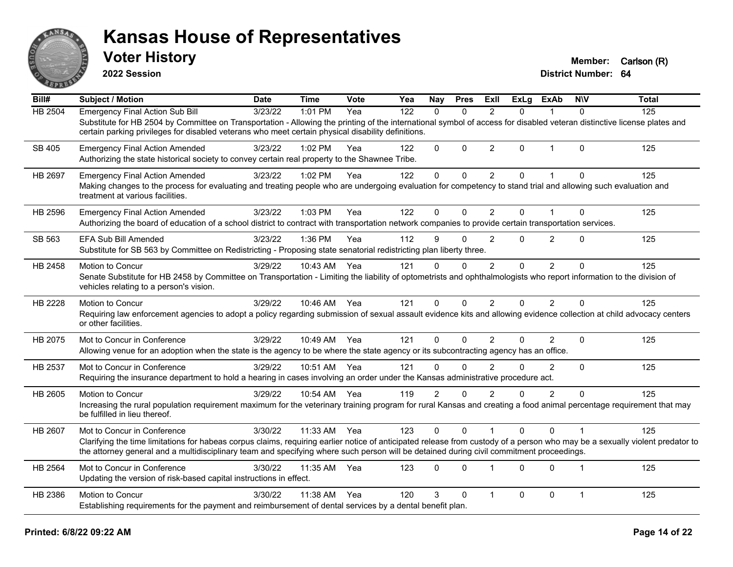

**2022 Session**

| Bill#          | <b>Subject / Motion</b>                                                                                                                                                                                                                                                                                                                                 | <b>Date</b> | <b>Time</b>  | Vote | Yea              | Nay            | <b>Pres</b> | ExII           | <b>ExLg</b> | <b>ExAb</b>    | <b>NIV</b>   | <b>Total</b> |
|----------------|---------------------------------------------------------------------------------------------------------------------------------------------------------------------------------------------------------------------------------------------------------------------------------------------------------------------------------------------------------|-------------|--------------|------|------------------|----------------|-------------|----------------|-------------|----------------|--------------|--------------|
| <b>HB 2504</b> | <b>Emergency Final Action Sub Bill</b><br>Substitute for HB 2504 by Committee on Transportation - Allowing the printing of the international symbol of access for disabled veteran distinctive license plates and<br>certain parking privileges for disabled veterans who meet certain physical disability definitions.                                 | 3/23/22     | 1:01 PM      | Yea  | $\overline{122}$ | $\mathbf{0}$   | $\Omega$    | 2              | $\Omega$    | 1              | $\Omega$     | 125          |
| SB 405         | <b>Emergency Final Action Amended</b><br>Authorizing the state historical society to convey certain real property to the Shawnee Tribe.                                                                                                                                                                                                                 | 3/23/22     | $1:02$ PM    | Yea  | 122              | $\mathbf 0$    | $\Omega$    | $\overline{2}$ | $\Omega$    | $\overline{1}$ | $\mathbf{0}$ | 125          |
| HB 2697        | <b>Emergency Final Action Amended</b><br>Making changes to the process for evaluating and treating people who are undergoing evaluation for competency to stand trial and allowing such evaluation and<br>treatment at various facilities.                                                                                                              | 3/23/22     | 1:02 PM      | Yea  | 122              | $\mathbf 0$    | $\Omega$    | $\overline{2}$ | $\Omega$    | $\mathbf{1}$   | $\Omega$     | 125          |
| HB 2596        | <b>Emergency Final Action Amended</b><br>Authorizing the board of education of a school district to contract with transportation network companies to provide certain transportation services.                                                                                                                                                          | 3/23/22     | 1:03 PM      | Yea  | 122              | $\Omega$       | 0           | $\overline{2}$ | $\Omega$    | 1              | $\Omega$     | 125          |
| SB 563         | EFA Sub Bill Amended<br>Substitute for SB 563 by Committee on Redistricting - Proposing state senatorial redistricting plan liberty three.                                                                                                                                                                                                              | 3/23/22     | 1:36 PM      | Yea  | 112              | 9              | 0           | $\overline{2}$ | $\Omega$    | $\overline{2}$ | $\mathbf{0}$ | 125          |
| HB 2458        | Motion to Concur<br>Senate Substitute for HB 2458 by Committee on Transportation - Limiting the liability of optometrists and ophthalmologists who report information to the division of<br>vehicles relating to a person's vision.                                                                                                                     | 3/29/22     | 10:43 AM     | Yea  | 121              | $\Omega$       | $\Omega$    | $\mathfrak{p}$ | $\Omega$    | $\mathcal{P}$  | $\Omega$     | 125          |
| HB 2228        | Motion to Concur<br>Requiring law enforcement agencies to adopt a policy regarding submission of sexual assault evidence kits and allowing evidence collection at child advocacy centers<br>or other facilities.                                                                                                                                        | 3/29/22     | 10:46 AM Yea |      | 121              | $\Omega$       | 0           | 2              | $\Omega$    | $\overline{2}$ | $\mathbf{0}$ | 125          |
| HB 2075        | Mot to Concur in Conference<br>Allowing venue for an adoption when the state is the agency to be where the state agency or its subcontracting agency has an office.                                                                                                                                                                                     | 3/29/22     | 10:49 AM     | Yea  | 121              | $\mathbf 0$    | 0           | $\overline{2}$ | $\Omega$    | $\overline{2}$ | $\mathbf 0$  | 125          |
| HB 2537        | Mot to Concur in Conference<br>Requiring the insurance department to hold a hearing in cases involving an order under the Kansas administrative procedure act.                                                                                                                                                                                          | 3/29/22     | 10:51 AM     | Yea  | 121              | $\Omega$       | $\Omega$    | $\overline{2}$ | $\Omega$    | $\overline{2}$ | $\Omega$     | 125          |
| HB 2605        | Motion to Concur<br>Increasing the rural population requirement maximum for the veterinary training program for rural Kansas and creating a food animal percentage requirement that may<br>be fulfilled in lieu thereof.                                                                                                                                | 3/29/22     | 10:54 AM Yea |      | 119              | $\overline{2}$ | $\Omega$    | $\overline{2}$ | 0           | $\overline{2}$ | $\mathbf{0}$ | 125          |
| HB 2607        | Mot to Concur in Conference<br>Clarifying the time limitations for habeas corpus claims, requiring earlier notice of anticipated release from custody of a person who may be a sexually violent predator to<br>the attorney general and a multidisciplinary team and specifying where such person will be detained during civil commitment proceedings. | 3/30/22     | 11:33 AM     | Yea  | 123              | $\Omega$       | 0           |                | $\Omega$    | $\Omega$       | $\mathbf 1$  | 125          |
| HB 2564        | Mot to Concur in Conference<br>Updating the version of risk-based capital instructions in effect.                                                                                                                                                                                                                                                       | 3/30/22     | 11:35 AM     | Yea  | 123              | $\Omega$       | 0           | $\mathbf{1}$   | $\Omega$    | $\Omega$       | $\mathbf 1$  | 125          |
| HB 2386        | Motion to Concur<br>Establishing requirements for the payment and reimbursement of dental services by a dental benefit plan.                                                                                                                                                                                                                            | 3/30/22     | 11:38 AM     | Yea  | 120              | 3              | 0           | $\overline{1}$ | $\Omega$    | 0              | $\mathbf{1}$ | 125          |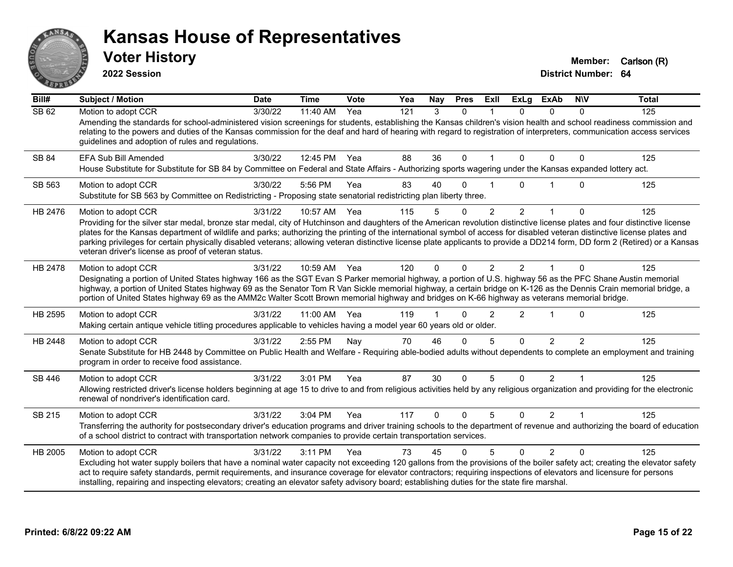

**2022 Session**

| Bill#        | <b>Subject / Motion</b>                                                                                                                                                                                                                                                                                                                                                                                                                                                                                                                                                                          | <b>Date</b> | <b>Time</b>  | <b>Vote</b> | Yea | Nay      | <b>Pres</b>  | ExII           | <b>ExLg</b>    | <b>ExAb</b>    | <b>NIV</b>    | <b>Total</b> |
|--------------|--------------------------------------------------------------------------------------------------------------------------------------------------------------------------------------------------------------------------------------------------------------------------------------------------------------------------------------------------------------------------------------------------------------------------------------------------------------------------------------------------------------------------------------------------------------------------------------------------|-------------|--------------|-------------|-----|----------|--------------|----------------|----------------|----------------|---------------|--------------|
| <b>SB 62</b> | Motion to adopt CCR                                                                                                                                                                                                                                                                                                                                                                                                                                                                                                                                                                              | 3/30/22     | 11:40 AM     | Yea         | 121 | 3        | $\Omega$     |                | $\Omega$       | $\mathbf{0}$   | 0             | 125          |
|              | Amending the standards for school-administered vision screenings for students, establishing the Kansas children's vision health and school readiness commission and<br>relating to the powers and duties of the Kansas commission for the deaf and hard of hearing with regard to registration of interpreters, communication access services<br>guidelines and adoption of rules and regulations.                                                                                                                                                                                               |             |              |             |     |          |              |                |                |                |               |              |
| SB 84        | <b>EFA Sub Bill Amended</b><br>House Substitute for Substitute for SB 84 by Committee on Federal and State Affairs - Authorizing sports wagering under the Kansas expanded lottery act.                                                                                                                                                                                                                                                                                                                                                                                                          | 3/30/22     | 12:45 PM     | Yea         | 88  | 36       | $\Omega$     | $\mathbf{1}$   | $\Omega$       | $\Omega$       | $\Omega$      | 125          |
| SB 563       | Motion to adopt CCR<br>Substitute for SB 563 by Committee on Redistricting - Proposing state senatorial redistricting plan liberty three.                                                                                                                                                                                                                                                                                                                                                                                                                                                        | 3/30/22     | 5:56 PM      | Yea         | 83  | 40       | $\Omega$     |                | 0              |                | $\Omega$      | 125          |
| HB 2476      | Motion to adopt CCR                                                                                                                                                                                                                                                                                                                                                                                                                                                                                                                                                                              | 3/31/22     | 10:57 AM     | Yea         | 115 | 5        | $\Omega$     | $\overline{2}$ | $\overline{2}$ | $\mathbf{1}$   | $\Omega$      | 125          |
|              | Providing for the silver star medal, bronze star medal, city of Hutchinson and daughters of the American revolution distinctive license plates and four distinctive license<br>plates for the Kansas department of wildlife and parks; authorizing the printing of the international symbol of access for disabled veteran distinctive license plates and<br>parking privileges for certain physically disabled veterans; allowing veteran distinctive license plate applicants to provide a DD214 form, DD form 2 (Retired) or a Kansas<br>veteran driver's license as proof of veteran status. |             |              |             |     |          |              |                |                |                |               |              |
| HB 2478      | Motion to adopt CCR<br>Designating a portion of United States highway 166 as the SGT Evan S Parker memorial highway, a portion of U.S. highway 56 as the PFC Shane Austin memorial<br>highway, a portion of United States highway 69 as the Senator Tom R Van Sickle memorial highway, a certain bridge on K-126 as the Dennis Crain memorial bridge, a<br>portion of United States highway 69 as the AMM2c Walter Scott Brown memorial highway and bridges on K-66 highway as veterans memorial bridge.                                                                                         | 3/31/22     | 10:59 AM Yea |             | 120 | $\Omega$ | <sup>0</sup> |                | $\mathcal{P}$  |                |               | 125          |
| HB 2595      | Motion to adopt CCR<br>Making certain antique vehicle titling procedures applicable to vehicles having a model year 60 years old or older.                                                                                                                                                                                                                                                                                                                                                                                                                                                       | 3/31/22     | 11:00 AM     | Yea         | 119 |          | $\Omega$     | $\mathfrak{p}$ | $\mathcal{P}$  |                | $\Omega$      | 125          |
| HB 2448      | Motion to adopt CCR                                                                                                                                                                                                                                                                                                                                                                                                                                                                                                                                                                              | 3/31/22     | 2:55 PM      | Nay         | 70  | 46       | $\Omega$     | 5              | $\Omega$       | $\overline{2}$ | $\mathcal{P}$ | 125          |
|              | Senate Substitute for HB 2448 by Committee on Public Health and Welfare - Requiring able-bodied adults without dependents to complete an employment and training<br>program in order to receive food assistance.                                                                                                                                                                                                                                                                                                                                                                                 |             |              |             |     |          |              |                |                |                |               |              |
| SB 446       | Motion to adopt CCR<br>Allowing restricted driver's license holders beginning at age 15 to drive to and from religious activities held by any religious organization and providing for the electronic<br>renewal of nondriver's identification card.                                                                                                                                                                                                                                                                                                                                             | 3/31/22     | 3:01 PM      | Yea         | 87  | 30       | $\Omega$     | 5              | $\Omega$       | 2              |               | 125          |
| SB 215       | Motion to adopt CCR                                                                                                                                                                                                                                                                                                                                                                                                                                                                                                                                                                              | 3/31/22     | 3:04 PM      | Yea         | 117 | $\Omega$ | $\Omega$     | 5              | $\Omega$       | 2              |               | 125          |
|              | Transferring the authority for postsecondary driver's education programs and driver training schools to the department of revenue and authorizing the board of education<br>of a school district to contract with transportation network companies to provide certain transportation services.                                                                                                                                                                                                                                                                                                   |             |              |             |     |          |              |                |                |                |               |              |
| HB 2005      | Motion to adopt CCR                                                                                                                                                                                                                                                                                                                                                                                                                                                                                                                                                                              | 3/31/22     | 3:11 PM      | Yea         | 73  | 45       | $\Omega$     | 5              | $\Omega$       | $\overline{2}$ | $\Omega$      | 125          |
|              | Excluding hot water supply boilers that have a nominal water capacity not exceeding 120 gallons from the provisions of the boiler safety act; creating the elevator safety<br>act to require safety standards, permit requirements, and insurance coverage for elevator contractors; requiring inspections of elevators and licensure for persons<br>installing, repairing and inspecting elevators; creating an elevator safety advisory board; establishing duties for the state fire marshal.                                                                                                 |             |              |             |     |          |              |                |                |                |               |              |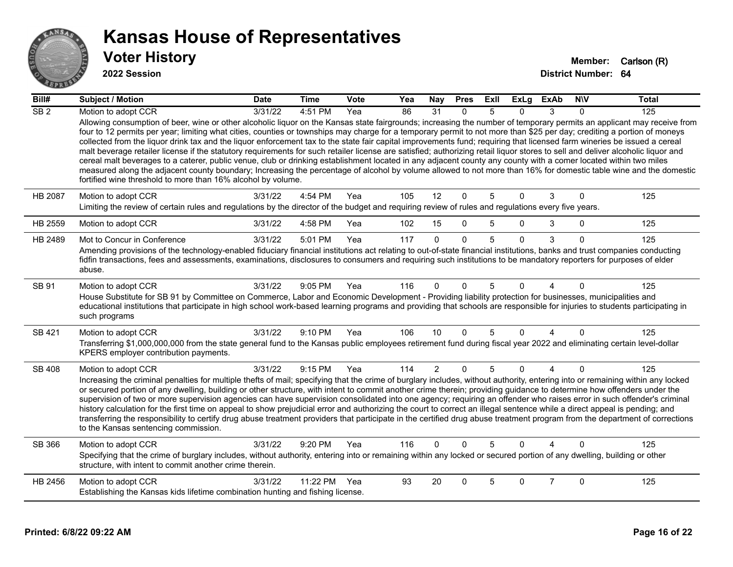

| Bill#            | <b>Subject / Motion</b>                                                                                                                                                                                                                                                                                                                                                                                                                                                                                                                                                                                                                                                                                                                                                                                                                                                                                                                                     | <b>Date</b> | <b>Time</b> | Vote | Yea | Nay            | <b>Pres</b>  | ExII | ExLg     | <b>ExAb</b>    | <b>NIV</b>  | <b>Total</b> |
|------------------|-------------------------------------------------------------------------------------------------------------------------------------------------------------------------------------------------------------------------------------------------------------------------------------------------------------------------------------------------------------------------------------------------------------------------------------------------------------------------------------------------------------------------------------------------------------------------------------------------------------------------------------------------------------------------------------------------------------------------------------------------------------------------------------------------------------------------------------------------------------------------------------------------------------------------------------------------------------|-------------|-------------|------|-----|----------------|--------------|------|----------|----------------|-------------|--------------|
| $\overline{SB2}$ | Motion to adopt CCR<br>Allowing consumption of beer, wine or other alcoholic liquor on the Kansas state fairgrounds; increasing the number of temporary permits an applicant may receive from                                                                                                                                                                                                                                                                                                                                                                                                                                                                                                                                                                                                                                                                                                                                                               | 3/31/22     | 4:51 PM     | Yea  | 86  | 31             | $\Omega$     | 5    | 0        | 3              | $\Omega$    | 125          |
|                  | four to 12 permits per year; limiting what cities, counties or townships may charge for a temporary permit to not more than \$25 per day; crediting a portion of moneys<br>collected from the liquor drink tax and the liquor enforcement tax to the state fair capital improvements fund; requiring that licensed farm wineries be issued a cereal<br>malt beverage retailer license if the statutory requirements for such retailer license are satisfied; authorizing retail liquor stores to sell and deliver alcoholic liquor and<br>cereal malt beverages to a caterer, public venue, club or drinking establishment located in any adjacent county any county with a comer located within two miles<br>measured along the adjacent county boundary; Increasing the percentage of alcohol by volume allowed to not more than 16% for domestic table wine and the domestic<br>fortified wine threshold to more than 16% alcohol by volume.             |             |             |      |     |                |              |      |          |                |             |              |
| HB 2087          | Motion to adopt CCR<br>Limiting the review of certain rules and regulations by the director of the budget and requiring review of rules and regulations every five years.                                                                                                                                                                                                                                                                                                                                                                                                                                                                                                                                                                                                                                                                                                                                                                                   | 3/31/22     | 4:54 PM     | Yea  | 105 | 12             | $\mathbf{0}$ | 5    | $\Omega$ | 3              | $\Omega$    | 125          |
| HB 2559          | Motion to adopt CCR                                                                                                                                                                                                                                                                                                                                                                                                                                                                                                                                                                                                                                                                                                                                                                                                                                                                                                                                         | 3/31/22     | 4:58 PM     | Yea  | 102 | 15             | $\mathbf 0$  | 5    | $\Omega$ | 3              | $\mathbf 0$ | 125          |
| HB 2489          | Mot to Concur in Conference                                                                                                                                                                                                                                                                                                                                                                                                                                                                                                                                                                                                                                                                                                                                                                                                                                                                                                                                 | 3/31/22     | 5:01 PM     | Yea  | 117 | $\Omega$       | $\Omega$     | 5    | $\Omega$ | 3              | $\Omega$    | 125          |
|                  | Amending provisions of the technology-enabled fiduciary financial institutions act relating to out-of-state financial institutions, banks and trust companies conducting<br>fidfin transactions, fees and assessments, examinations, disclosures to consumers and requiring such institutions to be mandatory reporters for purposes of elder<br>abuse.                                                                                                                                                                                                                                                                                                                                                                                                                                                                                                                                                                                                     |             |             |      |     |                |              |      |          |                |             |              |
| SB 91            | Motion to adopt CCR<br>House Substitute for SB 91 by Committee on Commerce, Labor and Economic Development - Providing liability protection for businesses, municipalities and<br>educational institutions that participate in high school work-based learning programs and providing that schools are responsible for injuries to students participating in<br>such programs                                                                                                                                                                                                                                                                                                                                                                                                                                                                                                                                                                               | 3/31/22     | 9:05 PM     | Yea  | 116 | $\Omega$       | $\Omega$     | 5    | n        |                | $\Omega$    | 125          |
| <b>SB 421</b>    | Motion to adopt CCR<br>Transferring \$1,000,000,000 from the state general fund to the Kansas public employees retirement fund during fiscal year 2022 and eliminating certain level-dollar<br>KPERS employer contribution payments.                                                                                                                                                                                                                                                                                                                                                                                                                                                                                                                                                                                                                                                                                                                        | 3/31/22     | 9:10 PM     | Yea  | 106 | 10             | $\Omega$     | 5    | $\Omega$ | 4              | $\Omega$    | 125          |
| SB 408           | Motion to adopt CCR<br>Increasing the criminal penalties for multiple thefts of mail; specifying that the crime of burglary includes, without authority, entering into or remaining within any locked<br>or secured portion of any dwelling, building or other structure, with intent to commit another crime therein; providing guidance to determine how offenders under the<br>supervision of two or more supervision agencies can have supervision consolidated into one agency; requiring an offender who raises error in such offender's criminal<br>history calculation for the first time on appeal to show prejudicial error and authorizing the court to correct an illegal sentence while a direct appeal is pending; and<br>transferring the responsibility to certify drug abuse treatment providers that participate in the certified drug abuse treatment program from the department of corrections<br>to the Kansas sentencing commission. | 3/31/22     | 9:15 PM     | Yea  | 114 | $\overline{2}$ | $\mathbf{0}$ | 5    | $\Omega$ | 4              | $\Omega$    | 125          |
| SB 366           | Motion to adopt CCR<br>Specifying that the crime of burglary includes, without authority, entering into or remaining within any locked or secured portion of any dwelling, building or other<br>structure, with intent to commit another crime therein.                                                                                                                                                                                                                                                                                                                                                                                                                                                                                                                                                                                                                                                                                                     | 3/31/22     | $9:20$ PM   | Yea  | 116 | $\Omega$       | $\Omega$     | 5    | $\Omega$ |                | $\Omega$    | 125          |
| HB 2456          | Motion to adopt CCR<br>Establishing the Kansas kids lifetime combination hunting and fishing license.                                                                                                                                                                                                                                                                                                                                                                                                                                                                                                                                                                                                                                                                                                                                                                                                                                                       | 3/31/22     | 11:22 PM    | Yea  | 93  | 20             | $\Omega$     | 5    | $\Omega$ | $\overline{7}$ | $\Omega$    | 125          |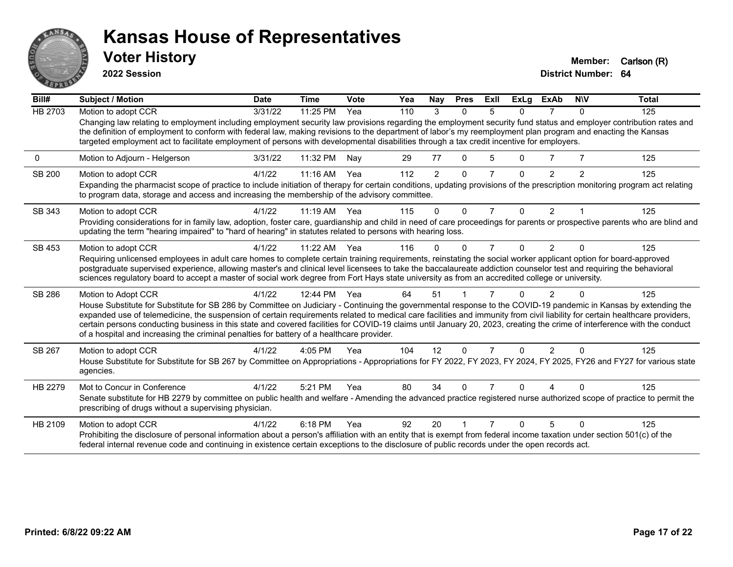

**2022 Session**

**District Number: 64 Voter History Member:** Carlson (R)

**Bill# Subject / Motion Date Time Vote Yea Nay Pres Exll ExLg ExAb N\V Total** HB 2703 Motion to adopt CCR 3/31/22 11:25 PM Yea 110 3 0 5 0 7 0 125 Changing law relating to employment including employment security law provisions regarding the employment security fund status and employer contribution rates and the definition of employment to conform with federal law, making revisions to the department of labor's my reemployment plan program and enacting the Kansas targeted employment act to facilitate employment of persons with developmental disabilities through a tax credit incentive for employers. 0 Motion to Adjourn - Helgerson 3/31/22 11:32 PM Nay 29 77 0 5 0 7 7 125 SB 200 Motion to adopt CCR 4/1/22 11:16 AM Yea 112 2 0 7 0 2 2 125 Expanding the pharmacist scope of practice to include initiation of therapy for certain conditions, updating provisions of the prescription monitoring program act relating to program data, storage and access and increasing the membership of the advisory committee. SB 343 Motion to adopt CCR 4/1/22 11:19 AM Yea 115 0 0 7 0 2 1 125 Providing considerations for in family law, adoption, foster care, guardianship and child in need of care proceedings for parents or prospective parents who are blind and updating the term "hearing impaired" to "hard of hearing" in statutes related to persons with hearing loss. SB 453 Motion to adopt CCR 4/1/22 11:22 AM Yea 116 0 0 7 0 2 0 125 Requiring unlicensed employees in adult care homes to complete certain training requirements, reinstating the social worker applicant option for board-approved postgraduate supervised experience, allowing master's and clinical level licensees to take the baccalaureate addiction counselor test and requiring the behavioral sciences regulatory board to accept a master of social work degree from Fort Hays state university as from an accredited college or university. SB 286 Motion to Adopt CCR 4/1/22 12:44 PM Yea 64 51 1 7 0 2 0 125 House Substitute for Substitute for SB 286 by Committee on Judiciary - Continuing the governmental response to the COVID-19 pandemic in Kansas by extending the expanded use of telemedicine, the suspension of certain requirements related to medical care facilities and immunity from civil liability for certain healthcare providers, certain persons conducting business in this state and covered facilities for COVID-19 claims until January 20, 2023, creating the crime of interference with the conduct of a hospital and increasing the criminal penalties for battery of a healthcare provider. SB 267 Motion to adopt CCR 4/1/22 4:05 PM Yea 104 12 0 7 0 2 0 125 House Substitute for Substitute for SB 267 by Committee on Appropriations - Appropriations for FY 2022, FY 2023, FY 2024, FY 2025, FY26 and FY27 for various state agencies. HB 2279 Mot to Concur in Conference  $\frac{4}{1/22}$  5:21 PM Yea 80 34 0 7 0 4 0 125 Senate substitute for HB 2279 by committee on public health and welfare - Amending the advanced practice registered nurse authorized scope of practice to permit the prescribing of drugs without a supervising physician. HB 2109 Motion to adopt CCR 4/1/22 6:18 PM Yea 92 20 1 7 0 5 0 125 Prohibiting the disclosure of personal information about a person's affiliation with an entity that is exempt from federal income taxation under section 501(c) of the federal internal revenue code and continuing in existence certain exceptions to the disclosure of public records under the open records act.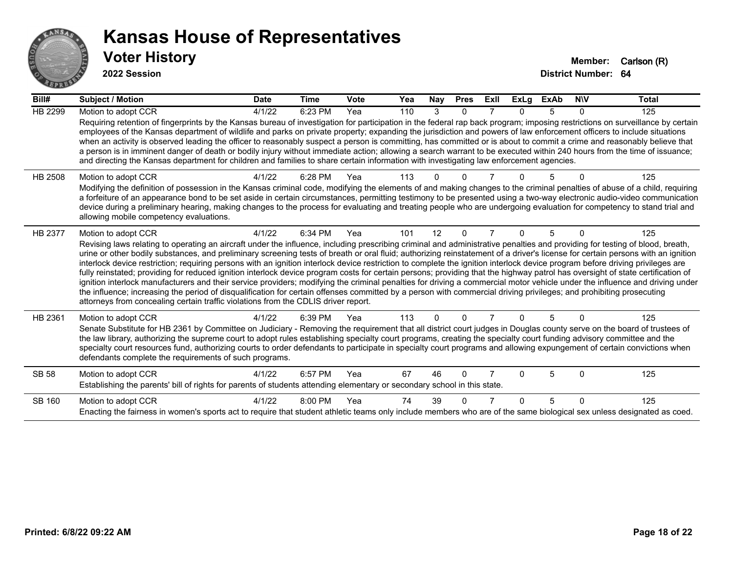

| Bill#          | <b>Subject / Motion</b>                                                                                                                                                                                                                                                                                                                                                                                                                                                                                                                                                                                                                                                                                                                                                                                                                                                                                                                                                                                                                                                                                                                                                                               | <b>Date</b> | <b>Time</b> | <b>Vote</b> | Yea | Nay      | <b>Pres</b>  | Exll | <b>ExLg</b>  | <b>ExAb</b> | <b>NIV</b> | <b>Total</b> |
|----------------|-------------------------------------------------------------------------------------------------------------------------------------------------------------------------------------------------------------------------------------------------------------------------------------------------------------------------------------------------------------------------------------------------------------------------------------------------------------------------------------------------------------------------------------------------------------------------------------------------------------------------------------------------------------------------------------------------------------------------------------------------------------------------------------------------------------------------------------------------------------------------------------------------------------------------------------------------------------------------------------------------------------------------------------------------------------------------------------------------------------------------------------------------------------------------------------------------------|-------------|-------------|-------------|-----|----------|--------------|------|--------------|-------------|------------|--------------|
| <b>HB 2299</b> | Motion to adopt CCR<br>Requiring retention of fingerprints by the Kansas bureau of investigation for participation in the federal rap back program; imposing restrictions on surveillance by certain<br>employees of the Kansas department of wildlife and parks on private property; expanding the jurisdiction and powers of law enforcement officers to include situations<br>when an activity is observed leading the officer to reasonably suspect a person is committing, has committed or is about to commit a crime and reasonably believe that<br>a person is in imminent danger of death or bodily injury without immediate action; allowing a search warrant to be executed within 240 hours from the time of issuance;<br>and directing the Kansas department for children and families to share certain information with investigating law enforcement agencies.                                                                                                                                                                                                                                                                                                                         | 4/1/22      | 6:23 PM     | Yea         | 110 | 3        | $\mathbf{0}$ |      | <sup>n</sup> | 5           | 0          | 125          |
| HB 2508        | Motion to adopt CCR<br>Modifying the definition of possession in the Kansas criminal code, modifying the elements of and making changes to the criminal penalties of abuse of a child, requiring<br>a forfeiture of an appearance bond to be set aside in certain circumstances, permitting testimony to be presented using a two-way electronic audio-video communication<br>device during a preliminary hearing, making changes to the process for evaluating and treating people who are undergoing evaluation for competency to stand trial and<br>allowing mobile competency evaluations.                                                                                                                                                                                                                                                                                                                                                                                                                                                                                                                                                                                                        | 4/1/22      | 6:28 PM     | Yea         | 113 |          |              |      |              |             |            | 125          |
| HB 2377        | Motion to adopt CCR<br>Revising laws relating to operating an aircraft under the influence, including prescribing criminal and administrative penalties and providing for testing of blood, breath,<br>urine or other bodily substances, and preliminary screening tests of breath or oral fluid; authorizing reinstatement of a driver's license for certain persons with an ignition<br>interlock device restriction; requiring persons with an ignition interlock device restriction to complete the ignition interlock device program before driving privileges are<br>fully reinstated; providing for reduced ignition interlock device program costs for certain persons; providing that the highway patrol has oversight of state certification of<br>ignition interlock manufacturers and their service providers; modifying the criminal penalties for driving a commercial motor vehicle under the influence and driving under<br>the influence; increasing the period of disqualification for certain offenses committed by a person with commercial driving privileges; and prohibiting prosecuting<br>attorneys from concealing certain traffic violations from the CDLIS driver report. | 4/1/22      | 6:34 PM     | Yea         | 101 | 12       | $\Omega$     | 7    | 0            | 5           | 0          | 125          |
| HB 2361        | Motion to adopt CCR<br>Senate Substitute for HB 2361 by Committee on Judiciary - Removing the requirement that all district court judges in Douglas county serve on the board of trustees of<br>the law library, authorizing the supreme court to adopt rules establishing specialty court programs, creating the specialty court funding advisory committee and the<br>specialty court resources fund, authorizing courts to order defendants to participate in specialty court programs and allowing expungement of certain convictions when<br>defendants complete the requirements of such programs.                                                                                                                                                                                                                                                                                                                                                                                                                                                                                                                                                                                              | 4/1/22      | 6:39 PM     | Yea         | 113 | $\Omega$ | $\Omega$     |      | 0            | 5           | $\Omega$   | 125          |
| <b>SB 58</b>   | Motion to adopt CCR<br>Establishing the parents' bill of rights for parents of students attending elementary or secondary school in this state.                                                                                                                                                                                                                                                                                                                                                                                                                                                                                                                                                                                                                                                                                                                                                                                                                                                                                                                                                                                                                                                       | 4/1/22      | 6:57 PM     | Yea         | 67  | 46       | $\Omega$     |      | U            | 5           | $\Omega$   | 125          |
| SB 160         | Motion to adopt CCR<br>Enacting the fairness in women's sports act to require that student athletic teams only include members who are of the same biological sex unless designated as coed.                                                                                                                                                                                                                                                                                                                                                                                                                                                                                                                                                                                                                                                                                                                                                                                                                                                                                                                                                                                                          | 4/1/22      | 8:00 PM     | Yea         | 74  | 39       | U            |      | <sup>n</sup> | 5           | $\Omega$   | 125          |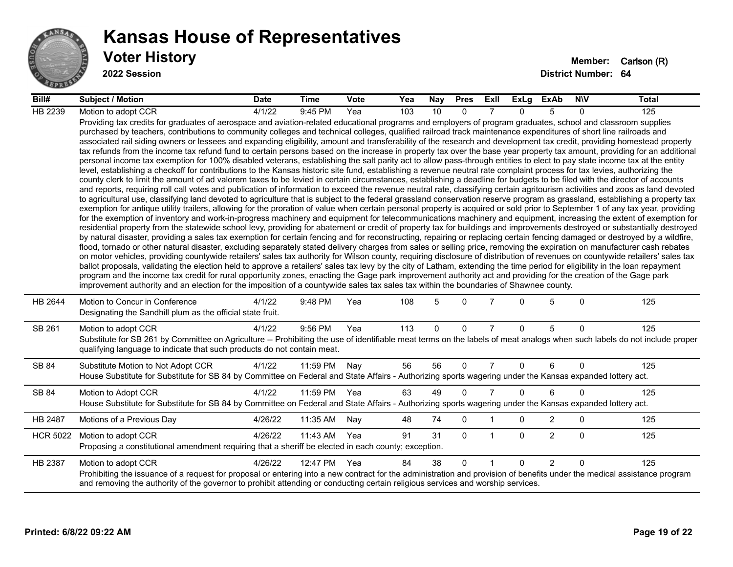

| Bill#           | <b>Subject / Motion</b>                                                                                                                                                                                                                                                                                                                                                                                                                                                                                                                                                                                                                                                                                                                                                                                                                                                                                                                                                                                                                                                                                                                                                                                                                                                                                                                                                                                                                                                                                                                                                                                                                                                                                                                                                                                                                                                                                                                                                                                                                                                                                                                                                                                                                                                                                                                                                                                                                                                                                                                                                                                                                                                                                                                                                                                                                                                                                                                                                                                                                                                                                                                                                     | <b>Date</b> | <b>Time</b> | <b>Vote</b> | Yea | Nay      | <b>Pres</b> | ExII           | ExLg     | ExAb           | <b>NIV</b>   | Total |
|-----------------|-----------------------------------------------------------------------------------------------------------------------------------------------------------------------------------------------------------------------------------------------------------------------------------------------------------------------------------------------------------------------------------------------------------------------------------------------------------------------------------------------------------------------------------------------------------------------------------------------------------------------------------------------------------------------------------------------------------------------------------------------------------------------------------------------------------------------------------------------------------------------------------------------------------------------------------------------------------------------------------------------------------------------------------------------------------------------------------------------------------------------------------------------------------------------------------------------------------------------------------------------------------------------------------------------------------------------------------------------------------------------------------------------------------------------------------------------------------------------------------------------------------------------------------------------------------------------------------------------------------------------------------------------------------------------------------------------------------------------------------------------------------------------------------------------------------------------------------------------------------------------------------------------------------------------------------------------------------------------------------------------------------------------------------------------------------------------------------------------------------------------------------------------------------------------------------------------------------------------------------------------------------------------------------------------------------------------------------------------------------------------------------------------------------------------------------------------------------------------------------------------------------------------------------------------------------------------------------------------------------------------------------------------------------------------------------------------------------------------------------------------------------------------------------------------------------------------------------------------------------------------------------------------------------------------------------------------------------------------------------------------------------------------------------------------------------------------------------------------------------------------------------------------------------------------------|-------------|-------------|-------------|-----|----------|-------------|----------------|----------|----------------|--------------|-------|
| HB 2239         | Motion to adopt CCR                                                                                                                                                                                                                                                                                                                                                                                                                                                                                                                                                                                                                                                                                                                                                                                                                                                                                                                                                                                                                                                                                                                                                                                                                                                                                                                                                                                                                                                                                                                                                                                                                                                                                                                                                                                                                                                                                                                                                                                                                                                                                                                                                                                                                                                                                                                                                                                                                                                                                                                                                                                                                                                                                                                                                                                                                                                                                                                                                                                                                                                                                                                                                         | 4/1/22      | 9:45 PM     | Yea         | 103 | 10       | $\Omega$    |                | $\Omega$ | 5              | $\Omega$     | 125   |
|                 | Providing tax credits for graduates of aerospace and aviation-related educational programs and employers of program graduates, school and classroom supplies<br>purchased by teachers, contributions to community colleges and technical colleges, qualified railroad track maintenance expenditures of short line railroads and<br>associated rail siding owners or lessees and expanding eligibility, amount and transferability of the research and development tax credit, providing homestead property<br>tax refunds from the income tax refund fund to certain persons based on the increase in property tax over the base year property tax amount, providing for an additional<br>personal income tax exemption for 100% disabled veterans, establishing the salt parity act to allow pass-through entities to elect to pay state income tax at the entity<br>level, establishing a checkoff for contributions to the Kansas historic site fund, establishing a revenue neutral rate complaint process for tax levies, authorizing the<br>county clerk to limit the amount of ad valorem taxes to be levied in certain circumstances, establishing a deadline for budgets to be filed with the director of accounts<br>and reports, requiring roll call votes and publication of information to exceed the revenue neutral rate, classifying certain agritourism activities and zoos as land devoted<br>to agricultural use, classifying land devoted to agriculture that is subject to the federal grassland conservation reserve program as grassland, establishing a property tax<br>exemption for antique utility trailers, allowing for the proration of value when certain personal property is acquired or sold prior to September 1 of any tax year, providing<br>for the exemption of inventory and work-in-progress machinery and equipment for telecommunications machinery and equipment, increasing the extent of exemption for<br>residential property from the statewide school levy, providing for abatement or credit of property tax for buildings and improvements destroyed or substantially destroyed<br>by natural disaster, providing a sales tax exemption for certain fencing and for reconstructing, repairing or replacing certain fencing damaged or destroyed by a wildfire,<br>flood, tornado or other natural disaster, excluding separately stated delivery charges from sales or selling price, removing the expiration on manufacturer cash rebates<br>on motor vehicles, providing countywide retailers' sales tax authority for Wilson county, requiring disclosure of distribution of revenues on countywide retailers' sales tax<br>ballot proposals, validating the election held to approve a retailers' sales tax levy by the city of Latham, extending the time period for eligibility in the loan repayment<br>program and the income tax credit for rural opportunity zones, enacting the Gage park improvement authority act and providing for the creation of the Gage park<br>improvement authority and an election for the imposition of a countywide sales tax sales tax within the boundaries of Shawnee county. |             |             |             |     |          |             |                |          |                |              |       |
| HB 2644         | Motion to Concur in Conference<br>Designating the Sandhill plum as the official state fruit.                                                                                                                                                                                                                                                                                                                                                                                                                                                                                                                                                                                                                                                                                                                                                                                                                                                                                                                                                                                                                                                                                                                                                                                                                                                                                                                                                                                                                                                                                                                                                                                                                                                                                                                                                                                                                                                                                                                                                                                                                                                                                                                                                                                                                                                                                                                                                                                                                                                                                                                                                                                                                                                                                                                                                                                                                                                                                                                                                                                                                                                                                | 4/1/22      | 9:48 PM     | Yea         | 108 | 5        | $\Omega$    |                | 0        | 5              | $\mathbf{0}$ | 125   |
| SB 261          | Motion to adopt CCR<br>Substitute for SB 261 by Committee on Agriculture -- Prohibiting the use of identifiable meat terms on the labels of meat analogs when such labels do not include proper<br>qualifying language to indicate that such products do not contain meat.                                                                                                                                                                                                                                                                                                                                                                                                                                                                                                                                                                                                                                                                                                                                                                                                                                                                                                                                                                                                                                                                                                                                                                                                                                                                                                                                                                                                                                                                                                                                                                                                                                                                                                                                                                                                                                                                                                                                                                                                                                                                                                                                                                                                                                                                                                                                                                                                                                                                                                                                                                                                                                                                                                                                                                                                                                                                                                  | 4/1/22      | 9:56 PM     | Yea         | 113 | $\Omega$ | $\Omega$    | $\overline{7}$ | $\Omega$ | 5              | $\mathbf{0}$ | 125   |
| SB 84           | Substitute Motion to Not Adopt CCR<br>House Substitute for Substitute for SB 84 by Committee on Federal and State Affairs - Authorizing sports wagering under the Kansas expanded lottery act.                                                                                                                                                                                                                                                                                                                                                                                                                                                                                                                                                                                                                                                                                                                                                                                                                                                                                                                                                                                                                                                                                                                                                                                                                                                                                                                                                                                                                                                                                                                                                                                                                                                                                                                                                                                                                                                                                                                                                                                                                                                                                                                                                                                                                                                                                                                                                                                                                                                                                                                                                                                                                                                                                                                                                                                                                                                                                                                                                                              | 4/1/22      | 11:59 PM    | Nay         | 56  | 56       | $\Omega$    | $\overline{7}$ | $\Omega$ | 6              | $\Omega$     | 125   |
| SB 84           | Motion to Adopt CCR<br>House Substitute for Substitute for SB 84 by Committee on Federal and State Affairs - Authorizing sports wagering under the Kansas expanded lottery act.                                                                                                                                                                                                                                                                                                                                                                                                                                                                                                                                                                                                                                                                                                                                                                                                                                                                                                                                                                                                                                                                                                                                                                                                                                                                                                                                                                                                                                                                                                                                                                                                                                                                                                                                                                                                                                                                                                                                                                                                                                                                                                                                                                                                                                                                                                                                                                                                                                                                                                                                                                                                                                                                                                                                                                                                                                                                                                                                                                                             | 4/1/22      | 11:59 PM    | Yea         | 63  | 49       | $\Omega$    | $\overline{7}$ | $\Omega$ | 6              | $\Omega$     | 125   |
| HB 2487         | Motions of a Previous Day                                                                                                                                                                                                                                                                                                                                                                                                                                                                                                                                                                                                                                                                                                                                                                                                                                                                                                                                                                                                                                                                                                                                                                                                                                                                                                                                                                                                                                                                                                                                                                                                                                                                                                                                                                                                                                                                                                                                                                                                                                                                                                                                                                                                                                                                                                                                                                                                                                                                                                                                                                                                                                                                                                                                                                                                                                                                                                                                                                                                                                                                                                                                                   | 4/26/22     | 11:35 AM    | Nay         | 48  | 74       | 0           |                | 0        | $\overline{2}$ | $\mathbf 0$  | 125   |
| <b>HCR 5022</b> | Motion to adopt CCR<br>Proposing a constitutional amendment requiring that a sheriff be elected in each county; exception.                                                                                                                                                                                                                                                                                                                                                                                                                                                                                                                                                                                                                                                                                                                                                                                                                                                                                                                                                                                                                                                                                                                                                                                                                                                                                                                                                                                                                                                                                                                                                                                                                                                                                                                                                                                                                                                                                                                                                                                                                                                                                                                                                                                                                                                                                                                                                                                                                                                                                                                                                                                                                                                                                                                                                                                                                                                                                                                                                                                                                                                  | 4/26/22     | 11:43 AM    | Yea         | 91  | 31       | $\Omega$    | -1             | $\Omega$ | $\overline{2}$ | $\mathbf{0}$ | 125   |
| HB 2387         | Motion to adopt CCR<br>Prohibiting the issuance of a request for proposal or entering into a new contract for the administration and provision of benefits under the medical assistance program<br>and removing the authority of the governor to prohibit attending or conducting certain religious services and worship services.                                                                                                                                                                                                                                                                                                                                                                                                                                                                                                                                                                                                                                                                                                                                                                                                                                                                                                                                                                                                                                                                                                                                                                                                                                                                                                                                                                                                                                                                                                                                                                                                                                                                                                                                                                                                                                                                                                                                                                                                                                                                                                                                                                                                                                                                                                                                                                                                                                                                                                                                                                                                                                                                                                                                                                                                                                          | 4/26/22     | 12:47 PM    | Yea         | 84  | 38       | $\Omega$    | $\overline{1}$ | $\Omega$ | 2              | $\Omega$     | 125   |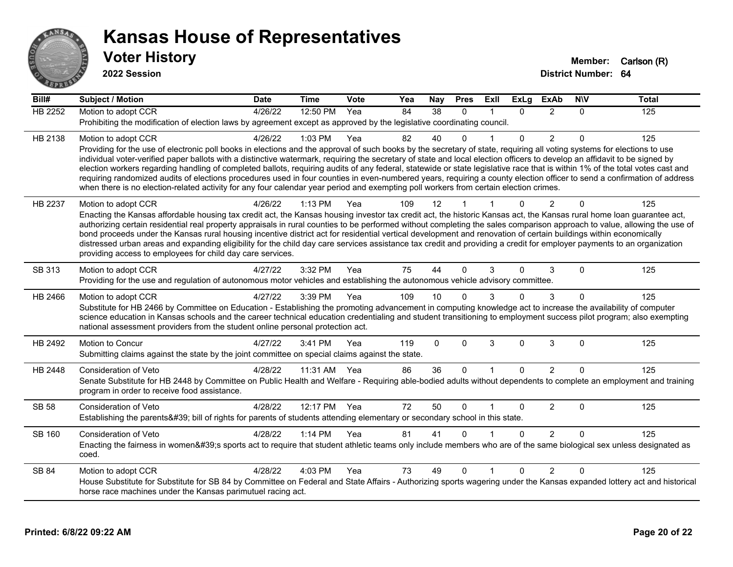

| Bill#          | <b>Subject / Motion</b>                                                                                                                                                                                                                                                                                                                                 | <b>Date</b> | <b>Time</b>  | Vote | Yea | Nay | <b>Pres</b> | ExII         | <b>ExLg</b> | <b>ExAb</b>    | <b>NIV</b> | <b>Total</b> |
|----------------|---------------------------------------------------------------------------------------------------------------------------------------------------------------------------------------------------------------------------------------------------------------------------------------------------------------------------------------------------------|-------------|--------------|------|-----|-----|-------------|--------------|-------------|----------------|------------|--------------|
| <b>HB 2252</b> | Motion to adopt CCR                                                                                                                                                                                                                                                                                                                                     | 4/26/22     | 12:50 PM     | Yea  | 84  | 38  | $\Omega$    |              | $\Omega$    | 2              | $\Omega$   | 125          |
|                | Prohibiting the modification of election laws by agreement except as approved by the legislative coordinating council.                                                                                                                                                                                                                                  |             |              |      |     |     |             |              |             |                |            |              |
| HB 2138        | Motion to adopt CCR                                                                                                                                                                                                                                                                                                                                     | 4/26/22     | 1:03 PM      | Yea  | 82  | 40  | 0           |              | $\Omega$    | $\overline{2}$ | $\Omega$   | 125          |
|                | Providing for the use of electronic poll books in elections and the approval of such books by the secretary of state, requiring all voting systems for elections to use                                                                                                                                                                                 |             |              |      |     |     |             |              |             |                |            |              |
|                | individual voter-verified paper ballots with a distinctive watermark, requiring the secretary of state and local election officers to develop an affidavit to be signed by                                                                                                                                                                              |             |              |      |     |     |             |              |             |                |            |              |
|                | election workers regarding handling of completed ballots, requiring audits of any federal, statewide or state legislative race that is within 1% of the total votes cast and<br>requiring randomized audits of elections procedures used in four counties in even-numbered years, requiring a county election officer to send a confirmation of address |             |              |      |     |     |             |              |             |                |            |              |
|                | when there is no election-related activity for any four calendar year period and exempting poll workers from certain election crimes.                                                                                                                                                                                                                   |             |              |      |     |     |             |              |             |                |            |              |
| HB 2237        | Motion to adopt CCR                                                                                                                                                                                                                                                                                                                                     | 4/26/22     | 1:13 PM      | Yea  | 109 | 12  |             |              | $\Omega$    | 2              | $\Omega$   | 125          |
|                | Enacting the Kansas affordable housing tax credit act, the Kansas housing investor tax credit act, the historic Kansas act, the Kansas rural home loan guarantee act,                                                                                                                                                                                   |             |              |      |     |     |             |              |             |                |            |              |
|                | authorizing certain residential real property appraisals in rural counties to be performed without completing the sales comparison approach to value, allowing the use of                                                                                                                                                                               |             |              |      |     |     |             |              |             |                |            |              |
|                | bond proceeds under the Kansas rural housing incentive district act for residential vertical development and renovation of certain buildings within economically                                                                                                                                                                                        |             |              |      |     |     |             |              |             |                |            |              |
|                | distressed urban areas and expanding eligibility for the child day care services assistance tax credit and providing a credit for employer payments to an organization<br>providing access to employees for child day care services.                                                                                                                    |             |              |      |     |     |             |              |             |                |            |              |
|                |                                                                                                                                                                                                                                                                                                                                                         |             |              |      |     |     |             |              |             |                |            |              |
| SB 313         | Motion to adopt CCR                                                                                                                                                                                                                                                                                                                                     | 4/27/22     | 3:32 PM      | Yea  | 75  | 44  | $\Omega$    | 3            | $\Omega$    | 3              | $\Omega$   | 125          |
|                | Providing for the use and regulation of autonomous motor vehicles and establishing the autonomous vehicle advisory committee.                                                                                                                                                                                                                           |             |              |      |     |     |             |              |             |                |            |              |
| HB 2466        | Motion to adopt CCR                                                                                                                                                                                                                                                                                                                                     | 4/27/22     | 3:39 PM      | Yea  | 109 | 10  | 0           | 3            | $\Omega$    | 3              | 0          | 125          |
|                | Substitute for HB 2466 by Committee on Education - Establishing the promoting advancement in computing knowledge act to increase the availability of computer<br>science education in Kansas schools and the career technical education credentialing and student transitioning to employment success pilot program; also exempting                     |             |              |      |     |     |             |              |             |                |            |              |
|                | national assessment providers from the student online personal protection act.                                                                                                                                                                                                                                                                          |             |              |      |     |     |             |              |             |                |            |              |
| HB 2492        | Motion to Concur                                                                                                                                                                                                                                                                                                                                        | 4/27/22     | 3:41 PM      | Yea  | 119 | 0   | $\Omega$    | 3            | $\Omega$    | 3              | $\Omega$   | 125          |
|                | Submitting claims against the state by the joint committee on special claims against the state.                                                                                                                                                                                                                                                         |             |              |      |     |     |             |              |             |                |            |              |
|                |                                                                                                                                                                                                                                                                                                                                                         |             |              |      |     |     |             |              |             |                |            |              |
| HB 2448        | Consideration of Veto                                                                                                                                                                                                                                                                                                                                   | 4/28/22     | 11:31 AM     | Yea  | 86  | 36  | $\Omega$    | $\mathbf{1}$ | $\Omega$    | $\overline{2}$ | $\Omega$   | 125          |
|                | Senate Substitute for HB 2448 by Committee on Public Health and Welfare - Requiring able-bodied adults without dependents to complete an employment and training<br>program in order to receive food assistance.                                                                                                                                        |             |              |      |     |     |             |              |             |                |            |              |
|                |                                                                                                                                                                                                                                                                                                                                                         |             |              |      |     |     |             |              |             |                |            |              |
| SB 58          | <b>Consideration of Veto</b><br>Establishing the parents' bill of rights for parents of students attending elementary or secondary school in this state.                                                                                                                                                                                                | 4/28/22     | 12:17 PM Yea |      | 72  | 50  | $\Omega$    |              | $\Omega$    | 2              | 0          | 125          |
|                |                                                                                                                                                                                                                                                                                                                                                         |             |              |      |     |     |             |              |             |                |            |              |
| SB 160         | <b>Consideration of Veto</b>                                                                                                                                                                                                                                                                                                                            | 4/28/22     | $1:14$ PM    | Yea  | 81  | 41  | n           |              | $\Omega$    | $\mathcal{P}$  | $\Omega$   | 125          |
|                | Enacting the fairness in women's sports act to require that student athletic teams only include members who are of the same biological sex unless designated as<br>coed.                                                                                                                                                                                |             |              |      |     |     |             |              |             |                |            |              |
| <b>SB 84</b>   | Motion to adopt CCR                                                                                                                                                                                                                                                                                                                                     | 4/28/22     | 4:03 PM      | Yea  | 73  | 49  | $\Omega$    |              | $\Omega$    | $\mathfrak{p}$ | $\Omega$   | 125          |
|                | House Substitute for Substitute for SB 84 by Committee on Federal and State Affairs - Authorizing sports wagering under the Kansas expanded lottery act and historical                                                                                                                                                                                  |             |              |      |     |     |             |              |             |                |            |              |
|                | horse race machines under the Kansas parimutuel racing act.                                                                                                                                                                                                                                                                                             |             |              |      |     |     |             |              |             |                |            |              |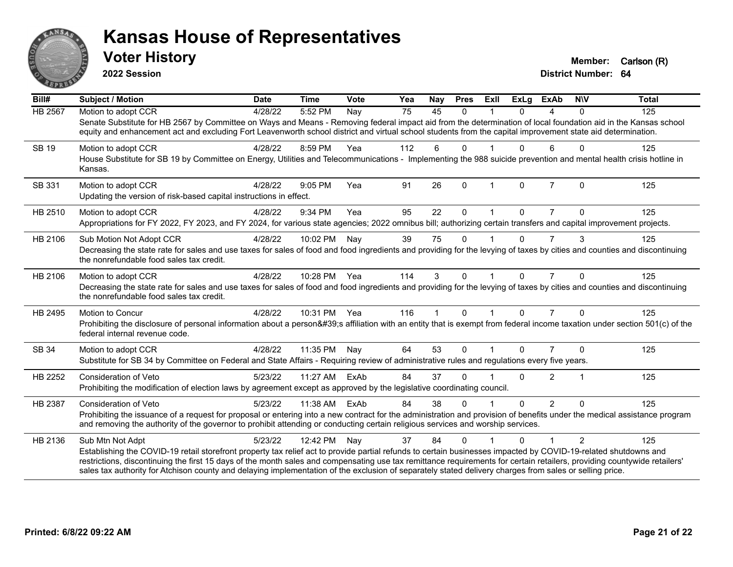

**2022 Session**

| $\overline{Bill#}$ | Subject / Motion                                                                                                                                                                                                                                                                                                                                                                                                                                                                                                           | <b>Date</b> | <b>Time</b>  | Vote | Yea             | Nay          | <b>Pres</b> | ExII         | <b>ExLg</b> | <b>ExAb</b>    | <b>NIV</b>     | <b>Total</b> |
|--------------------|----------------------------------------------------------------------------------------------------------------------------------------------------------------------------------------------------------------------------------------------------------------------------------------------------------------------------------------------------------------------------------------------------------------------------------------------------------------------------------------------------------------------------|-------------|--------------|------|-----------------|--------------|-------------|--------------|-------------|----------------|----------------|--------------|
| <b>HB 2567</b>     | Motion to adopt CCR<br>Senate Substitute for HB 2567 by Committee on Ways and Means - Removing federal impact aid from the determination of local foundation aid in the Kansas school<br>equity and enhancement act and excluding Fort Leavenworth school district and virtual school students from the capital improvement state aid determination.                                                                                                                                                                       | 4/28/22     | 5:52 PM      | Nay  | $\overline{75}$ | 45           | $\Omega$    |              | $\Omega$    | 4              | $\Omega$       | 125          |
| <b>SB 19</b>       | Motion to adopt CCR<br>House Substitute for SB 19 by Committee on Energy, Utilities and Telecommunications - Implementing the 988 suicide prevention and mental health crisis hotline in<br>Kansas.                                                                                                                                                                                                                                                                                                                        | 4/28/22     | 8:59 PM      | Yea  | 112             | 6            | $\Omega$    |              | $\Omega$    | 6              | $\Omega$       | 125          |
| SB 331             | Motion to adopt CCR<br>Updating the version of risk-based capital instructions in effect.                                                                                                                                                                                                                                                                                                                                                                                                                                  | 4/28/22     | 9:05 PM      | Yea  | 91              | 26           | $\mathbf 0$ | $\mathbf{1}$ | 0           | $\overline{7}$ | $\mathbf 0$    | 125          |
| HB 2510            | Motion to adopt CCR<br>Appropriations for FY 2022, FY 2023, and FY 2024, for various state agencies; 2022 omnibus bill; authorizing certain transfers and capital improvement projects.                                                                                                                                                                                                                                                                                                                                    | 4/28/22     | 9:34 PM      | Yea  | 95              | 22           | $\Omega$    |              | 0           |                | 0              | 125          |
| HB 2106            | Sub Motion Not Adopt CCR<br>Decreasing the state rate for sales and use taxes for sales of food and food ingredients and providing for the levying of taxes by cities and counties and discontinuing<br>the nonrefundable food sales tax credit.                                                                                                                                                                                                                                                                           | 4/28/22     | 10:02 PM     | Nay  | 39              | 75           | $\Omega$    |              | $\Omega$    | 7              | 3              | 125          |
| HB 2106            | Motion to adopt CCR<br>Decreasing the state rate for sales and use taxes for sales of food and food ingredients and providing for the levying of taxes by cities and counties and discontinuing<br>the nonrefundable food sales tax credit.                                                                                                                                                                                                                                                                                | 4/28/22     | 10:28 PM Yea |      | 114             | 3            | $\Omega$    |              | $\Omega$    | $\overline{7}$ | $\Omega$       | 125          |
| HB 2495            | <b>Motion to Concur</b><br>Prohibiting the disclosure of personal information about a person's affiliation with an entity that is exempt from federal income taxation under section 501(c) of the<br>federal internal revenue code.                                                                                                                                                                                                                                                                                        | 4/28/22     | 10:31 PM Yea |      | 116             | $\mathbf{1}$ | $\Omega$    | $\mathbf 1$  | $\Omega$    | $\overline{7}$ | $\Omega$       | 125          |
| SB 34              | Motion to adopt CCR<br>Substitute for SB 34 by Committee on Federal and State Affairs - Requiring review of administrative rules and regulations every five years.                                                                                                                                                                                                                                                                                                                                                         | 4/28/22     | 11:35 PM     | Nay  | 64              | 53           | $\mathbf 0$ |              | $\Omega$    | $\overline{7}$ | $\Omega$       | 125          |
| HB 2252            | Consideration of Veto<br>Prohibiting the modification of election laws by agreement except as approved by the legislative coordinating council.                                                                                                                                                                                                                                                                                                                                                                            | 5/23/22     | 11:27 AM     | ExAb | 84              | 37           | $\Omega$    |              | 0           | $\overline{2}$ |                | 125          |
| HB 2387            | <b>Consideration of Veto</b><br>Prohibiting the issuance of a request for proposal or entering into a new contract for the administration and provision of benefits under the medical assistance program<br>and removing the authority of the governor to prohibit attending or conducting certain religious services and worship services.                                                                                                                                                                                | 5/23/22     | 11:38 AM     | ExAb | 84              | 38           | $\Omega$    |              | $\Omega$    | $\overline{2}$ | $\Omega$       | 125          |
| HB 2136            | Sub Mtn Not Adpt<br>Establishing the COVID-19 retail storefront property tax relief act to provide partial refunds to certain businesses impacted by COVID-19-related shutdowns and<br>restrictions, discontinuing the first 15 days of the month sales and compensating use tax remittance requirements for certain retailers, providing countywide retailers'<br>sales tax authority for Atchison county and delaying implementation of the exclusion of separately stated delivery charges from sales or selling price. | 5/23/22     | 12:42 PM     | Nay  | 37              | 84           | $\Omega$    |              | 0           | 1              | $\mathfrak{p}$ | 125          |